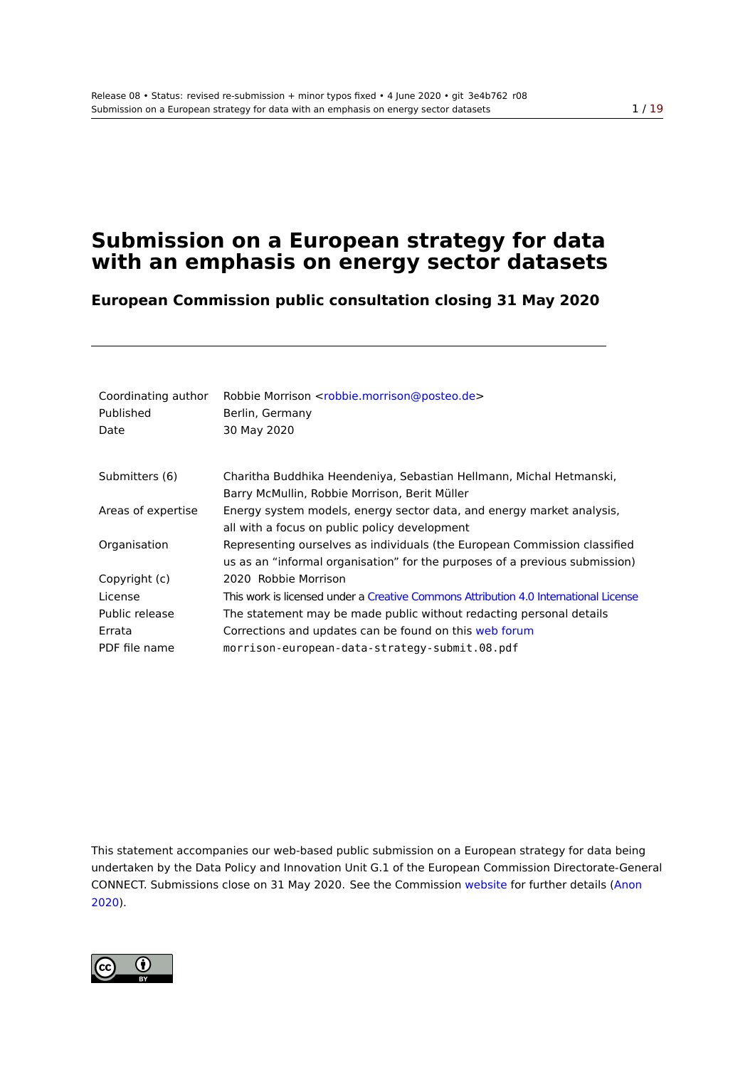# **Submission on a European strategy for data with an emphasis on energy sector datasets**

**European Commission public consultation closing 31 May 2020**

| Coordinating author<br>Published<br>Date | Robbie Morrison <robbie.morrison@posteo.de><br/>Berlin, Germany<br/>30 May 2020</robbie.morrison@posteo.de> |
|------------------------------------------|-------------------------------------------------------------------------------------------------------------|
| Submitters (6)                           | Charitha Buddhika Heendeniya, Sebastian Hellmann, Michal Hetmanski,                                         |
|                                          | Barry McMullin, Robbie Morrison, Berit Müller                                                               |
| Areas of expertise                       | Energy system models, energy sector data, and energy market analysis,                                       |
|                                          | all with a focus on public policy development                                                               |
| Organisation                             | Representing ourselves as individuals (the European Commission classified                                   |
|                                          | us as an "informal organisation" for the purposes of a previous submission)                                 |
| Copyright (c)                            | 2020 Robbie Morrison                                                                                        |
| License                                  | This work is licensed under a Creative Commons Attribution 4.0 International License                        |
| Public release                           | The statement may be made public without redacting personal details                                         |
| Errata                                   | Corrections and updates can be found on this web forum                                                      |
| PDF file name                            | morrison-european-data-strategy-submit.08.pdf                                                               |

This statement accompanies our web-based public submission on a European strategy for data being undertaken by the Data Policy and Innovation Unit G.1 of the European Commission Directorate-General CONNECT. Submissions close on 31 May 2020. See the Commission website for further details (Anon 2020).

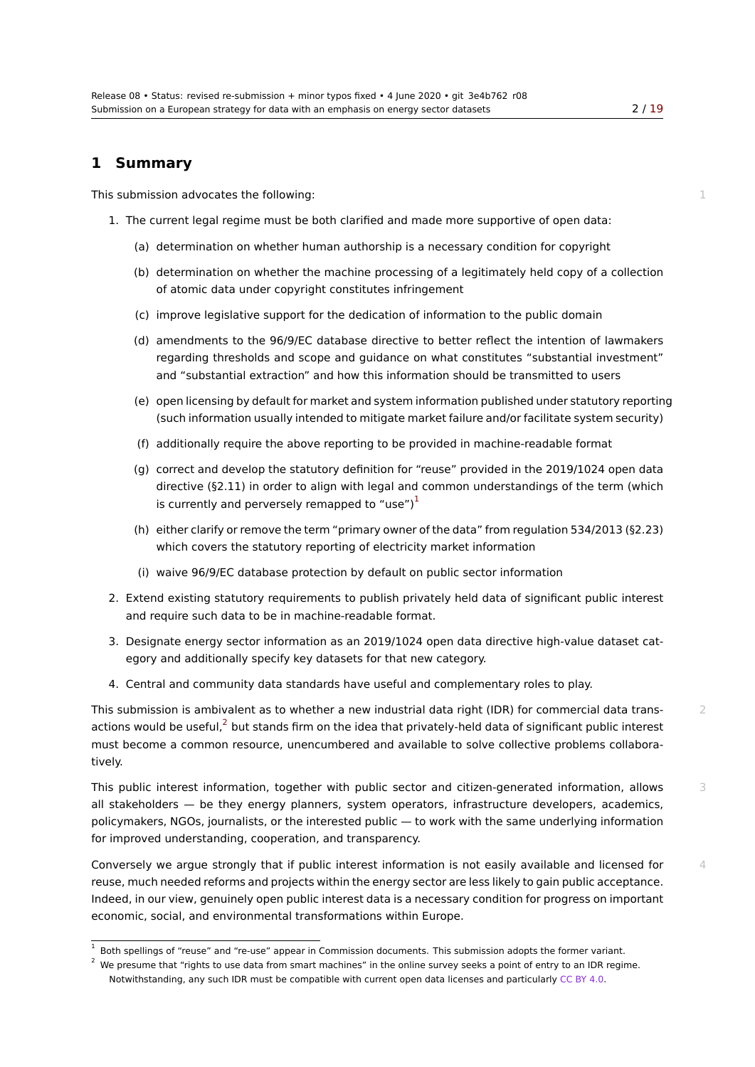# **1 Summary**

This submission advocates the following: 1 and 1 and 1 and 1 and 1 and 1 and 1 and 1 and 1 and 1 and 1 and 1 and 1 and 1 and 1 and 1 and 1 and 1 and 1 and 1 and 1 and 1 and 1 and 1 and 1 and 1 and 1 and 1 and 1 and 1 and 1

- <span id="page-1-1"></span>1. The current legal regime must be both clarified and made more supportive of open data:
	- (a) determination on whether human authorship is a necessary condition for copyright
	- (b) determination on whether the machine processing of a legitimately held copy of a collection of atomic data under copyright constitutes infringement
	- (c) improve legislative support for the dedication of information to the public domain
	- (d) amendments to the 96/9/EC database directive to better reflect the intention of lawmakers regarding thresholds and scope and guidance on what constitutes "substantial investment" and "substantial extraction" and how this information should be transmitted to users
	- (e) open licensing by default for market and system information published under statutory reporting (such information usually intended to mitigate market failure and/or facilitate system security)
	- (f) additionally require the above reporting to be provided in machine‑readable format
	- (g) correct and develop the statutory definition for "reuse" provided in the 2019/1024 open data directive (§2.11) in order to align with legal and common understandings of the term (which is currently and perversely remapped to "use") $<sup>1</sup>$ </sup>
	- (h) either clarify or remove the term "primary owner of the data" from regulation 534/2013 (§2.23) which covers the statutory reporting of electricity market information
	- (i) waive 96/9/EC database protection by default on public sector information
- 2. Extend existing statutory requirements to publish privately held data of significant public interest and require such data to be in machine-readable format.
- 3. Designate energy sector information as an 2019/1024 open data directive high-value dataset category and additionally specify key datasets for that new category.
- 4. Central and community data standards have useful and complementary roles to play.

This submission is ambivalent as to whether a new industrial data right (IDR) for commercial data trans-<br>2 actions would be useful, $^2$  but stands firm on the idea that privately-held data of significant public interest must become a common resource, unencumbered and available to solve collective problems collaboratively.

This public interest inf[orm](#page-1-0)ation, together with public sector and citizen-generated information, allows 3 all stakeholders — be they energy planners, system operators, infrastructure developers, academics, policymakers, NGOs, journalists, or the interested public — to work with the same underlying information for improved understanding, cooperation, and transparency.

Conversely we argue strongly that if public interest information is not easily available and licensed for  $4$ reuse, much needed reforms and projects within the energy sector are less likely to gain public acceptance. Indeed, in our view, genuinely open public interest data is a necessary condition for progress on important economic, social, and environmental transformations within Europe.

<sup>&</sup>lt;sup>1</sup> Both spellings of "reuse" and "re-use" appear in Commission documents. This submission adopts the former variant.

<span id="page-1-0"></span><sup>2</sup> We presume that "rights to use data from smart machines" in the online survey seeks a point of entry to an IDR regime. Notwithstanding, any such IDR must be compatible with current open data licenses and particularly CC BY 4.0.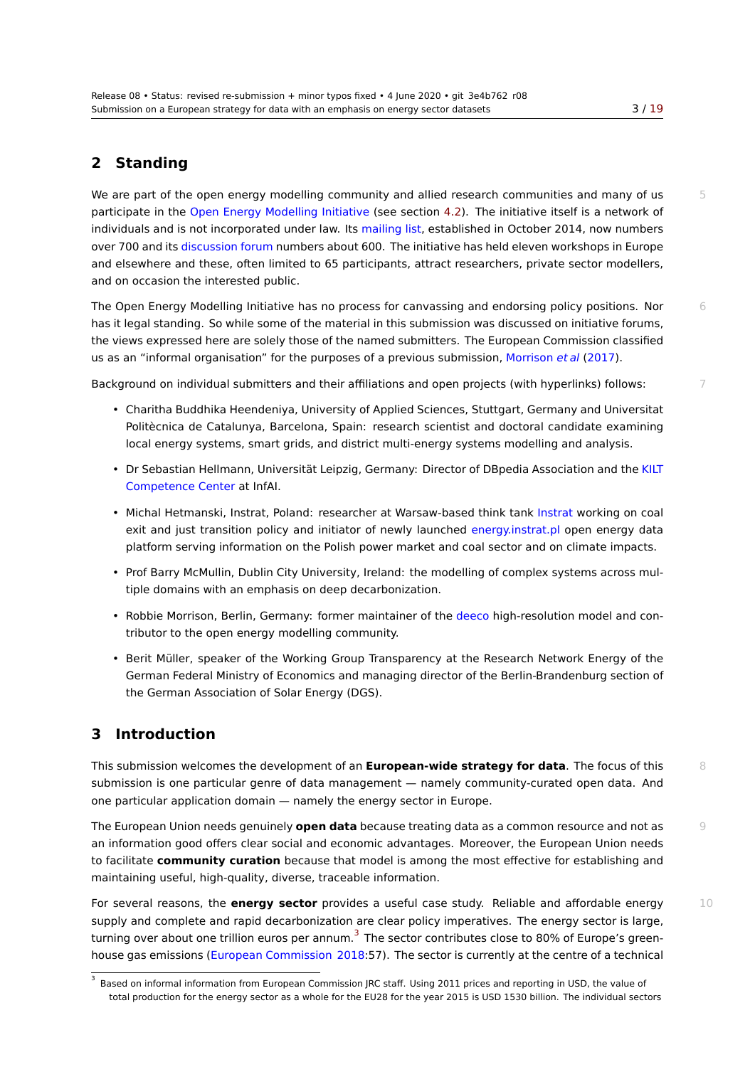# **2 Standing**

We are part of the open energy modelling community and allied research communities and many of us 5 participate in the Open Energy Modelling Initiative (see section 4.2). The initiative itself is a network of individuals and is not incorporated under law. Its mailing list, established in October 2014, now numbers over 700 and its discussion forum numbers about 600. The initiative has held eleven workshops in Europe and elsewhere and these, often limited to 65 participants, attra[ct re](#page-4-0)searchers, private sector modellers, and on occasiont[he interested public.](http://openmod-initiative.org)

The Open Energ[y Modelling Initia](https://forum.openmod-initiative.org/u)tive has no process for canvassing and endorsing policy positions. Nor 66 has it legal standing. So while some of the material in this submission was discussed on initiative forums, the views expressed here are solely those of the named submitters. The European Commission classified us as an "informal organisation" for the purposes of a previous submission, Morrison *et al* (2017).

Background on individual submitters and their affiliations and open projects (with hyperlinks) follows: 7

- Charitha Buddhika Heendeniya, University of Applied Sciences, Stuttgart, Germany and Universitat Politècnica de Catalunya, Barcelona, Spain: research scientist and [doctoral candidate ex](#page-16-0)amining local energy systems, smart grids, and district multi-energy systems modelling and analysis.
- Dr Sebastian Hellmann, Universität Leipzig, Germany: Director of DBpedia Association and the KILT Competence Center at InfAI.
- Michal Hetmanski, Instrat, Poland: researcher at Warsaw-based think tank Instrat working on coal exit and just transition policy and initiator of newly launched energy.instrat.pl open energy [data](http://aksw.org/Groups/KILT.html) [platform serving info](http://aksw.org/Groups/KILT.html)rmation on the Polish power market and coal sector and on climate impacts.
- Prof Barry McMullin, Dublin City University, Ireland: the modelling of compl[ex syst](https://instrat.pl/en/)ems across multiple domains with an emphasis on deep decarbonization.
- Robbie Morrison, Berlin, Germany: former maintainer of the deeco high-resolution model and contributor to the open energy modelling community.
- Berit Müller, speaker of the Working Group Transparency at the Research Network Energy of the German Federal Ministry of Economics and managing direct[or of th](https://github.com/robbiemorrison/deeco)e Berlin-Brandenburg section of the German Association of Solar Energy (DGS).

# **3 Introduction**

This submission welcomes the development of an **European‑wide strategy for data**. The focus of this 8 submission is one particular genre of data management — namely community-curated open data. And one particular application domain — namely the energy sector in Europe.

The European Union needs genuinely **open data** because treating data as a common resource and not as 9 an information good offers clear social and economic advantages. Moreover, the European Union needs to facilitate **community curation** because that model is among the most effective for establishing and maintaining useful, high-quality, diverse, traceable information.

For several reasons, the **energy sector** provides a useful case study. Reliable and affordable energy 10 supply and complete and rapid decarbonization are clear policy imperatives. The energy sector is large, turning over about one trillion euros per annum.<sup>3</sup> The sector contributes close to 80% of Europe's greenhouse gas emissions (European Commission 2018:57). The sector is currently at the centre of a technical

<span id="page-2-0"></span><sup>&</sup>lt;sup>3</sup> Based on informal information from European Commission JRC staff. Using 2011 prices and reporting in USD, the value of total production for the energy sector as a whole for t[he](#page-2-0) EU28 for the year 2015 is USD 1530 billion. The individual sectors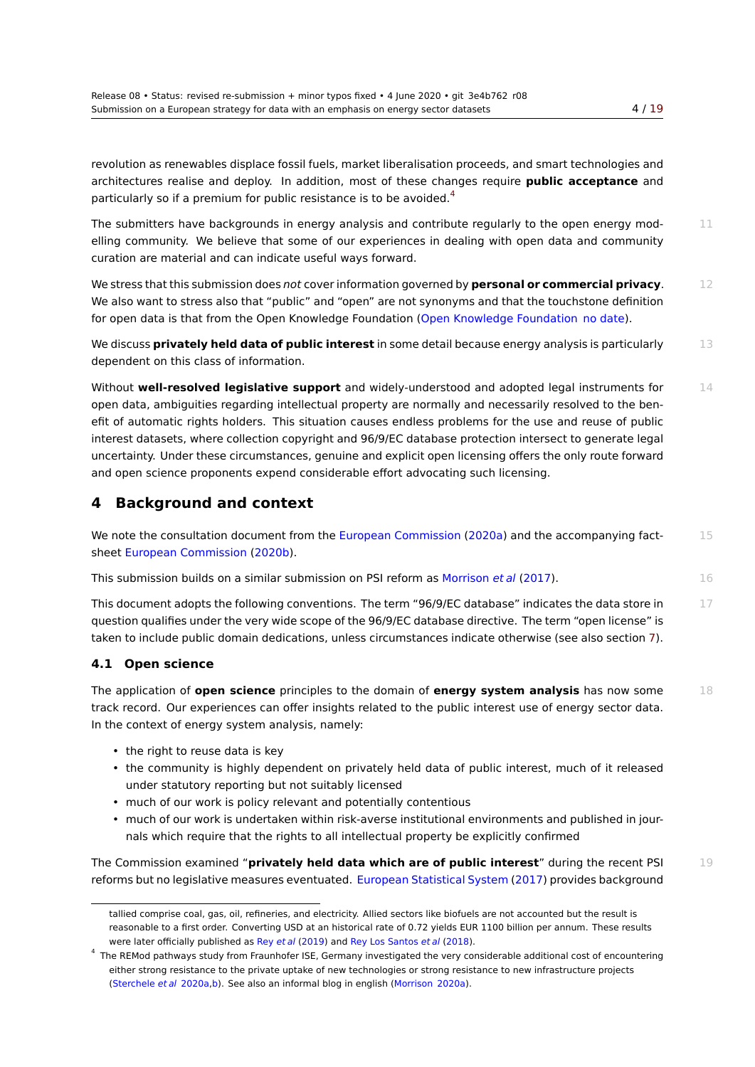revolution as renewables displace fossil fuels, market liberalisation proceeds, and smart technologies [and](#page-18-0) architectures realise and deploy. In addition, most of these changes require **public acceptance** and particularly so if a premium for public resistance is to be avoided.<sup>4</sup>

The submitters have backgrounds in energy analysis and contribute regularly to the open energy mod-<br>11 elling community. We believe that some of our experiences in dealing with open data and community curation are material and can indicate useful ways forward.

We stress that this submission does *not* cover information governed by **personal or commercial privacy**. 12 We also want to stress also that "public" and "open" are not synonyms and that the touchstone definition for open data is that from the Open Knowledge Foundation (Open Knowledge Foundation no date).

We discuss **privately held data of public interest** in some detail because energy analysis is particularly 13 dependent on this class of information.

Without **well-resolved legislative support** and widely-u[nderstood and adopted legal](#page-16-1) i[nstrume](#page-16-1)nts for 14 open data, ambiguities regarding intellectual property are normally and necessarily resolved to the benefit of automatic rights holders. This situation causes endless problems for the use and reuse of public interest datasets, where collection copyright and 96/9/EC database protection intersect to generate legal uncertainty. Under these circumstances, genuine and explicit open licensing offers the only route forward and open science proponents expend considerable effort advocating such licensing.

# **4 Background and context**

| We note the consultation document from the European Commission (2020a) and the accompanying fact- |  |
|---------------------------------------------------------------------------------------------------|--|
| sheet European Commission (2020b).                                                                |  |

This submission builds on a similar submission on PSI reform as Morrison *et al* (2017). 16

This document adopts the following conventi[ons. The term "96/9/EC databas](#page-15-0)e" indicates the data store in  $17$ questi[on qualifies under the very wid](#page-15-1)e scope of the 96/9/EC database directive. The term "open license" is taken to include public domain dedications, unless circumstance[s indicate otherwise](#page-16-0) (see also section 7).

### **4.1 Open science**

The application of **open science** principles to the domain of **energy system analysis** has now some 18 track record. Our experiences can offer insights related to the public interest use of energy sector da[ta](#page-11-0). In the context of energy system analysis, namely:

- the right to reuse data is key
- the community is highly dependent on privately held data of public interest, much of it released under statutory reporting but not suitably licensed
- much of our work is policy relevant and potentially contentious
- much of our work is undertaken within risk-averse institutional environments and published in journals which require that the rights to all intellectual property be explicitly confirmed

The Commission examined "**privately held data which are of public interest**" during the recent PSI 19 reforms but no legislative measures eventuated. European Statistical System (2017) provides background

tallied comprise coal, gas, oil, refineries, and electricity. Allied sectors like biofuels are not accounted but the result is reasonable to a first order. Converting USD at an historical rate of 0.72 yields EUR 1100 billion per annum. These results were later officially published as Rey *et al* (2019) and [Rey Los Santos](#page-15-2) *et al* (2018).

<sup>&</sup>lt;sup>4</sup> The REMod pathways study from Fraunhofer ISE, Germany investigated the very considerable additional cost of encountering either strong resistance to the private uptake of new technologies or strong resistance to new infrastructure projects (Sterchele *et al* 2020a,b). See also an informal blog in english (Morrison 2020a).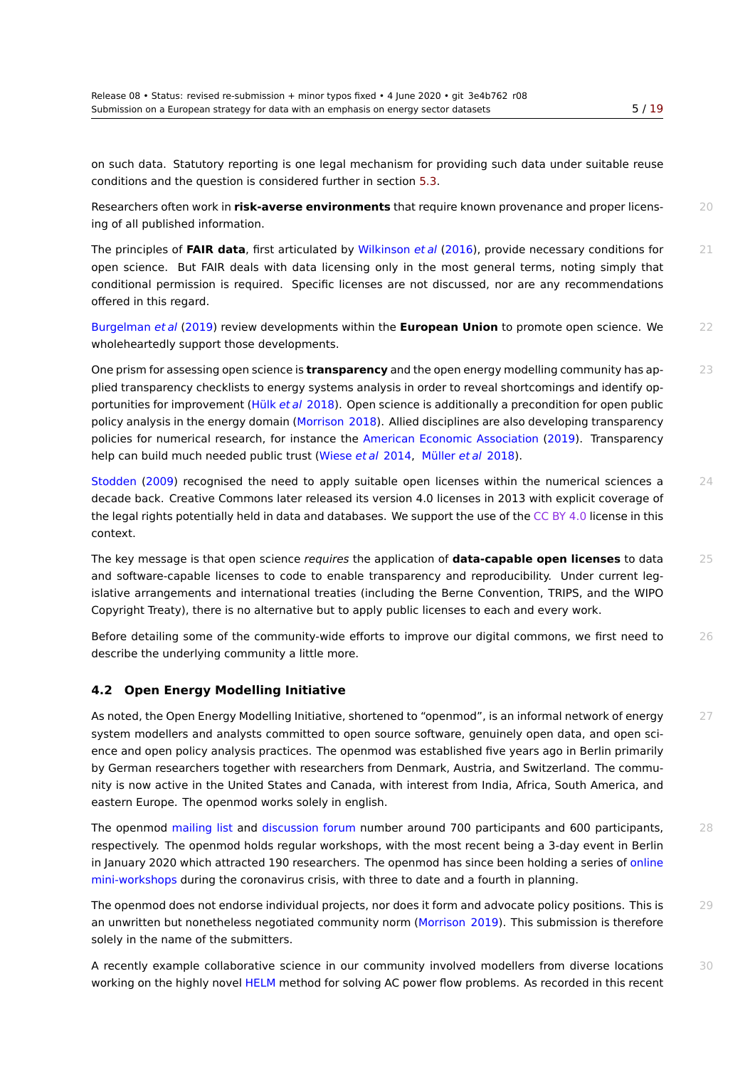on such data. Statutory reporting is one legal mechanism for providing such data under suitable re[use](#page-18-0) conditions and the question is considered further in section 5.3.

Researchers often work in **risk‑averse environments** that require known provenance and proper licens- 20 ing of all published information.

The principles of **FAIR data**, first articulated by Wilkinson *[et al](#page-9-0)* (2016), provide necessary conditions for 21 open science. But FAIR deals with data licensing only in the most general terms, noting simply that conditional permission is required. Specific licenses are not discussed, nor are any recommendations offered in this regard.

Burgelman *et al* (2019) review developments within the **European Union** to promote open science. We 22 wholeheartedly support those developments.

One prism for assessing open science is **transparency** and the open energy modelling community has ap- 23 [plied transparency che](#page-14-0)cklists to energy systems analysis in order to reveal shortcomings and identify opportunities for improvement (Hülk *et al* 2018). Open science is additionally a precondition for open public policy analysis in the energy domain (Morrison 2018). Allied disciplines are also developing transparency policies for numerical research, for instance the American Economic Association (2019). Transparency help can build much needed [public trust \(Wie](#page-16-2)se *et al* 2014, Müller *et al* 2018).

Stodden (2009) recognised the nee[d to apply suita](#page-16-3)ble open licenses within the numerical sciences a 24 decade back. Creative Commons later releasedi[ts version 4.0 licenses in 2013 wi](#page-14-1)t[h exp](#page-14-1)licit coverage of the legal rights potentially held in data an[d database](#page-17-0)s[. We s](#page-17-0)[upport the use of t](#page-16-4)he CC BY 4.0 license in this [context.](#page-17-1)

The key message is that open science *requires* the application of **data-capable open licenses** to data 25 and software-capable licenses to code to enable transparency and reproducibility. Under current legislative arrangements and international treaties (including the Berne Convention, TRIPS, and the WIPO Copyright Treaty), there is no alternative but to apply public licenses to each and every work.

Before detailing some of the community-wide efforts to improve our digital commons, we first need to 26 describe the underlying community a little more.

#### **4.2 Open Energy Modelling Initiative**

<span id="page-4-0"></span>As noted, the Open Energy Modelling Initiative, shortened to "openmod", is an informal network of energy  $27$ system modellers and analysts committed to open source software, genuinely open data, and open science and open policy analysis practices. The openmod was established five years ago in Berlin primarily by German researchers together with researchers from Denmark, Austria, and Switzerland. The community is now active in the United States and Canada, with interest from India, Africa, South America, and eastern Europe. The openmod works solely in english.

The openmod mailing list and discussion forum number around 700 participants and 600 participants, 28 respectively. The openmod holds regular workshops, with the most recent being a 3‑day event in Berlin in January 2020 which attracted 190 researchers. The openmod has since been holding a series of online mini-workshops [during the](https://groups.google.com/forum/#!forum/openmod-initiative) cor[onavirus crisis, wit](https://forum.openmod-initiative.org)h three to date and a fourth in planning.

The openmod does not endorse individual projects, nor does it form and advocate policy positions. This is 29 an unwritten but nonetheless negotiated community norm (Morrison 2019). This submission is th[erefore](https://forum.openmod-initiative.org/tags/mini-workshop) [solely in the nam](https://forum.openmod-initiative.org/tags/mini-workshop)e of the submitters.

A recently example collaborative science in our community involved modellers from diverse locations 30 working on the highly novel HELM method for solving AC po[wer flow proble](#page-16-5)ms. As recorded in this recent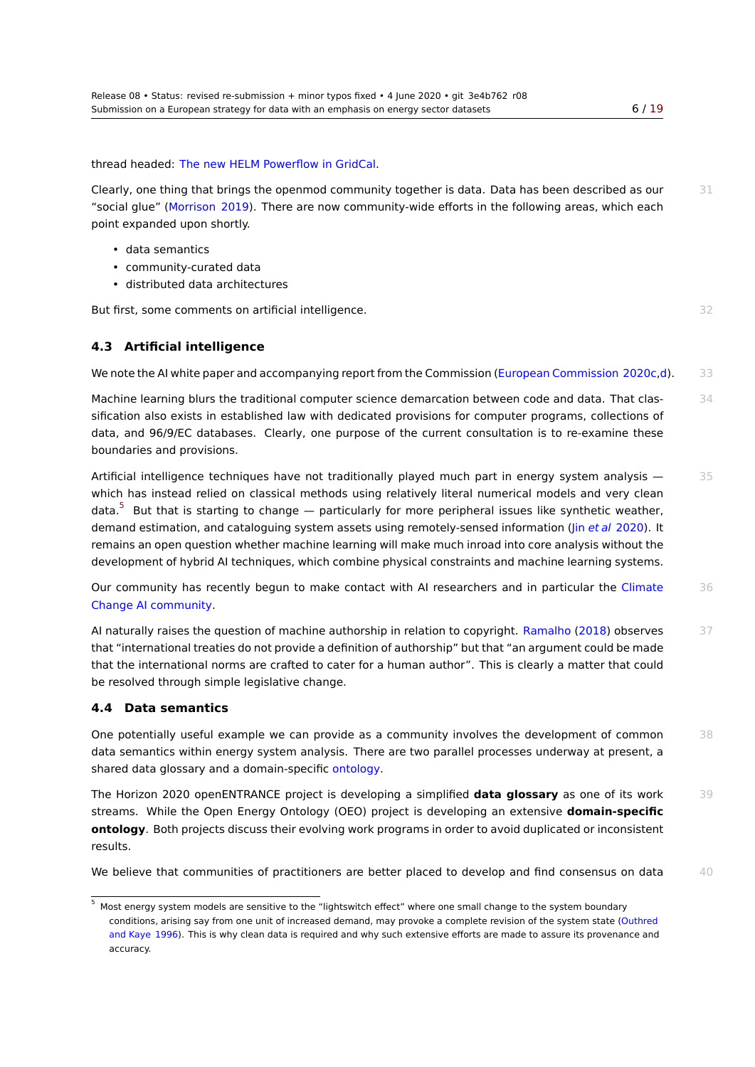thread headed: The new HELM Powerflow in GridCal.

Clearly, one thing that brings the openmod community together is data. Data has been described as our  $31$ "social glue" (Morrison 2019). There are now community-wide efforts in the following areas, which each point expanded [upon shortly.](https://forum.openmod-initiative.org/t/the-new-helm-powerflow-in-gridcal/1952)

- data semantics
- commu[nity-curated da](#page-16-5)ta
- distributed data architectures

But first, some comments on artificial intelligence. **32** and 32

#### **4.3 Artificial intelligence**

We note the AI white paper and accompanying report from the Commission (European Commission 2020c,d). 33

Machine learning blurs the traditional computer science demarcation between code and data. That clas- 34 sification also exists in established law with dedicated provisions for computer programs, collections of data, and 96/9/EC databas[e](#page-15-4)s. Clearly, one purpose of the current consultation is to re-examine these boundaries and provisions.

Artificial intelligence techniques have not traditionally played much part in energy system analysis  $-$  35 which has instead relied on classical methods using relatively literal numerical models and very clean data.<sup>5</sup> But that is starting to change — particularly for more peripheral issues like synthetic weather, demand estimation, and cataloguing system assets using remotely-sensed information (Jin *et al* 2020). It remains an open question whether machine learning will make much inroad into core analysis without the deve[lo](#page-5-0)pment of hybrid AI techniques, which combine physical constraints and machine learning systems.

Our community has recently begun to make contact with AI researchers and in parti[cular the](#page-16-6) [Clim](#page-16-6)ate 36 Change AI community.

AI naturally raises the question of machine authorship in relation to copyright. Ramalho (2018) observes 37 that "international treaties do not provide a definition of authorship" but that "an argument could [be made](https://forum.climatechange.ai) [that the international n](https://forum.climatechange.ai)orms are crafted to cater for a human author". This is clearly a matter that could be resolved through simple legislative change.

#### **4.4 Data semantics**

<span id="page-5-1"></span>One potentially useful example we can provide as a community involves the development of common 38 data semantics within energy system analysis. There are two parallel processes underway at present, a shared data glossary and a domain-specific ontology.

The Horizon 2020 openENTRANCE project is developing a simplified **data glossary** as one of its work 39 streams. While the Open Energy Ontology (OEO) project is developing an extensive **domain-specific ontology**. Both projects discuss their evolvi[ng work p](https://en.wikipedia.org/wiki/Ontology_(information_science))rograms in order to avoid duplicated or inconsistent results.

We believe that communities of practitioners are better placed to develop and find consensus on data 40

<span id="page-5-0"></span> $^5\,$  Most energy system models are sensitive to the "lightswitch effect" where one small change to the system boundary conditions, arising say from one unit of increased demand, may provoke a complete revision of the system state (Outhred and Kaye 1996). This is why clean data is required and why such extensive efforts are made to assure its provenance and accuracy.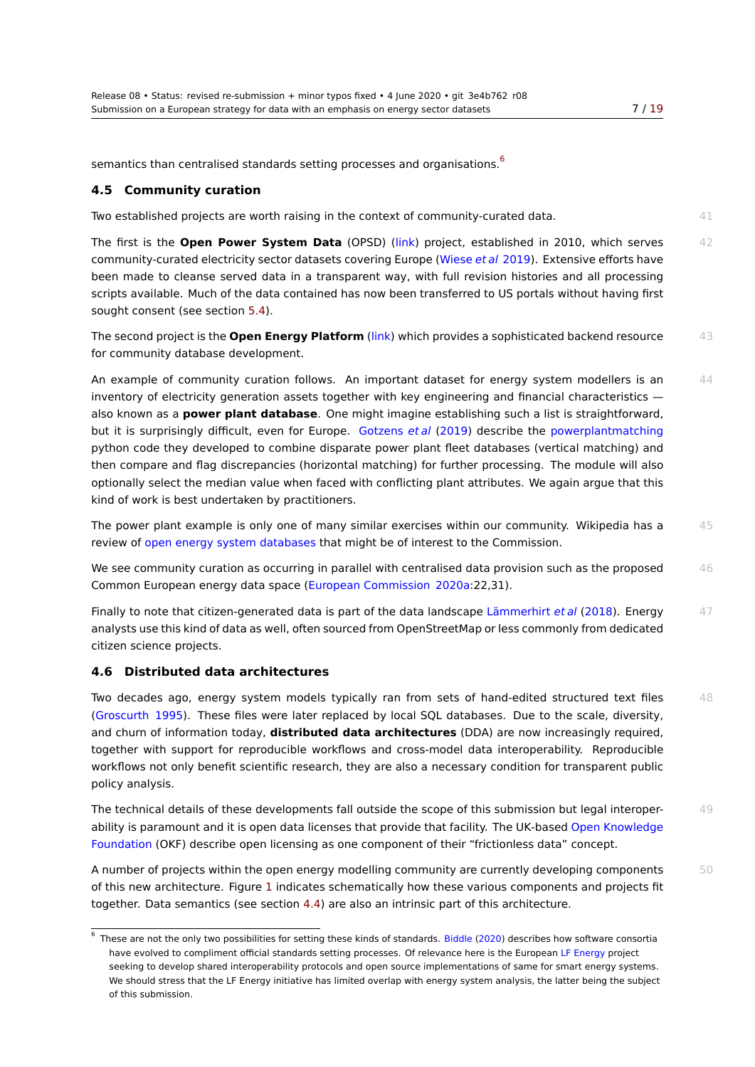semantics than centralised standards setting processes and organisations.<sup>6</sup>

#### **4.5 Community curation**

Two established projects are worth [ra](#page-6-0)ising in the context of community-curated data.  $41$ 

<span id="page-6-1"></span>The first is the **Open Power System Data** (OPSD) (link) project, established in 2010, which serves 42 community-curated electricity sector datasets covering Europe (Wiese *et al* 2019). Extensive efforts have been made to cleanse served data in a transparent way, with full revision histories and all processing scripts available. Much of the data contained has now [been](http://open-power-system-data.org) transferred to US portals without having first sought consent (see section 5.4).

The second project is the **Open Energy Platform** (link) which provides a sophisticated backend resource 43 for community database development.

An example of community [cura](#page-10-0)tion follows. An important dataset for energy system modellers is an  $44$ inventory of electricity generation assets together [with](https://openenergy-platform.org) key engineering and financial characteristics also known as a **power plant database**. One might imagine establishing such a list is straightforward, but it is surprisingly difficult, even for Europe. Gotzens *et al* (2019) describe the powerplantmatching python code they developed to combine disparate power plant fleet databases (vertical matching) and then compare and flag discrepancies (horizontal matching) for further processing. The module will also optionally select the median value when faced w[ith conflicting plant a](#page-15-5)ttributes. We [again argue that this](https://github.com/FRESNA/powerplantmatching) kind of work is best undertaken by practitioners.

The power plant example is only one of many similar exercises within our community. Wikipedia has a 45 review of open energy system databases that might be of interest to the Commission.

We see community curation as occurring in parallel with centralised data provision such as the proposed  $46$ Common European energy data space (European Commission 2020a:22,31).

Finally to [note that citizen-generated data](https://en.wikipedia.org/wiki/Open_energy_system_databases) is part of the data landscape Lämmerhirt *et al* (2018). Energy 47 analysts use this kind of data as well, often sourced from OpenStreetMap or less commonly from dedicated citizen science projects.

#### **4.6 Distributed data architectures**

Two decades ago, energy system models typically ran from sets of hand-edited structured text files 48 (Groscurth 1995). These files were later replaced by local SQL databases. Due to the scale, diversity, and churn of information today, **distributed data architectures** (DDA) are now increasingly required, together with support for reproducible workflows and cross-model data interoperability. Reproducible workflows not only benefit scientific research, they are also a necessary condition for transparent public [policy analysis.](#page-15-6)

The technical details of these developments fall outside the scope of this submission but legal interoper- 49 ability is paramount and it is open data licenses that provide that facility. The UK-based Open Knowledge Foundation (OKF) describe open licensing as one component of their "frictionless data" concept.

A number of projects within the open energy modelling community are currently developing components  $50$ of this new architecture. Figure 1 indicates schematically how these various componen[ts and projects fit](https://en.wikipedia.org/wiki/Open_Knowledge_Foundation) [together. D](https://en.wikipedia.org/wiki/Open_Knowledge_Foundation)ata semantics (see section 4.4) are also an intrinsic part of this architecture.

<span id="page-6-0"></span><sup>&</sup>lt;sup>6</sup> These are not the only two possibilities for setting these kinds of standards. Biddle (2020) describes how software consortia have evolved to compliment offici[al s](#page-7-0)tandards setting processes. Of relevance here is the European LF Energy project seeking to develop shared interoperability [proto](#page-5-1)cols and open source implementations of same for smart energy systems. We should stress that the LF Energy initiative has limited overlap with energy system analysis, the latter being the subject of this submission.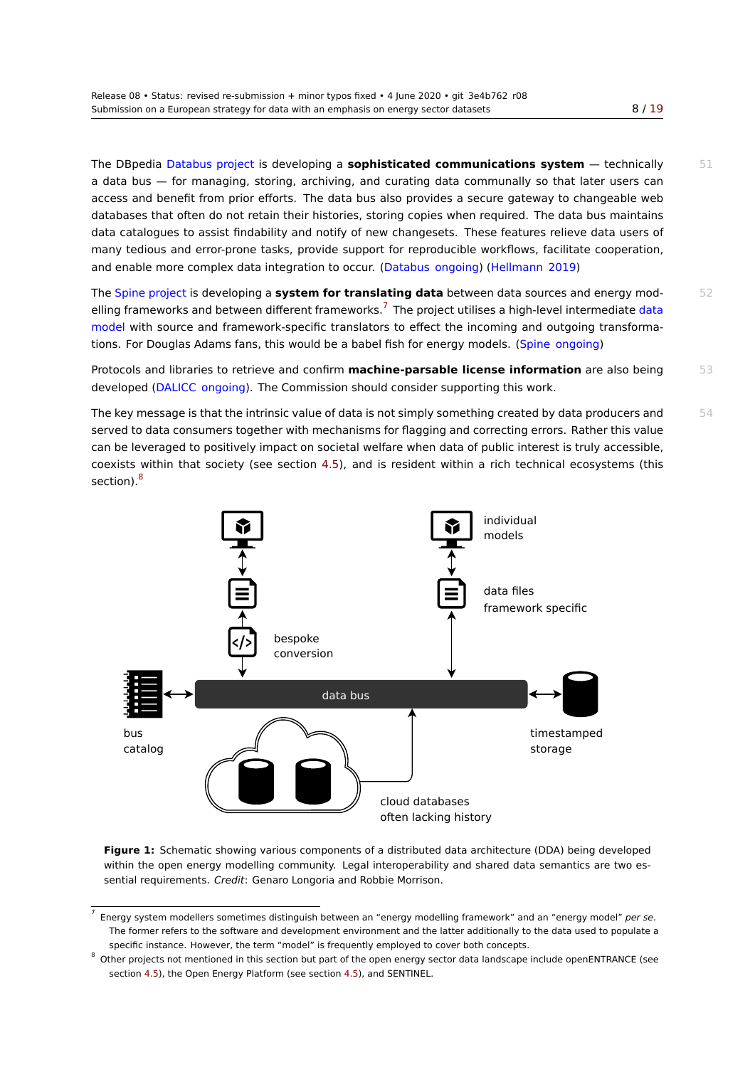The DBpedia Databus project is developing a **sophisticated communications system** — technic[ally](#page-18-0) 51 a data bus — for managing, storing, archiving, and curating data communally so that later users can access and benefit from prior efforts. The data bus also provides a secure gateway to changeable web databases that often do not retain their histories, storing copies when required. The data bus maintains data catalog[ues to assist finda](https://databus.dbpedia.org/)bility and notify of new changesets. These features relieve data users of many tedious and error-prone tasks, provide support for reproducible workflows, facilitate cooperation, and enable more complex data integration to occur. (Databus ongoing) (Hellmann 2019)

The Spine project is developing a **system for translating data** between data sources and energy mod- 52 elling frameworks and between different frameworks.<sup>7</sup> The project utilises a high-level intermediate data model with source and framework-specific translator[s to effect the inc](#page-14-2)o[ming and outgo](#page-15-7)ing transformation[s. For Douglas](http://www.spine-model.org) Adams fans, this would be a babel fish for energy models. (Spine ongoing)

Protocols and libraries to retrieve and confirm **mach[in](#page-7-1)e-parsable license information** are also [being](https://en.wikipedia.org/wiki/Data_model) 53 [develo](https://en.wikipedia.org/wiki/Data_model)ped (DALICC ongoing). The Commission should consider supporting this work.

The key message is that the intrinsic value of data is not simply something cre[ated by data pro](#page-17-2)ducers and  $54$ served to data consumers together with mechanisms for flagging and correcting errors. Rather this value can be leve[raged to positive](#page-14-3)ly impact on societal welfare when data of public interest is truly accessible, coexists within that society (see section 4.5), and is resident within a rich technical ecosystems (this section).<sup>8</sup>

<span id="page-7-0"></span>

**Figure 1:** Schematic showing various components of a distributed data architecture (DDA) being developed within the open energy modelling community. Legal interoperability and shared data semantics are two essential requirements. *Credit*: Genaro Longoria and Robbie Morrison.

<sup>7</sup> Energy system modellers sometimes distinguish between an "energy modelling framework" and an "energy model" *per se*. The former refers to the software and development environment and the latter additionally to the data used to populate a specific instance. However, the term "model" is frequently employed to cover both concepts.

<span id="page-7-1"></span><sup>8</sup> Other projects not mentioned in this section but part of the open energy sector data landscape include openENTRANCE (see section 4.5), the Open Energy Platform (see section 4.5), and SENTINEL.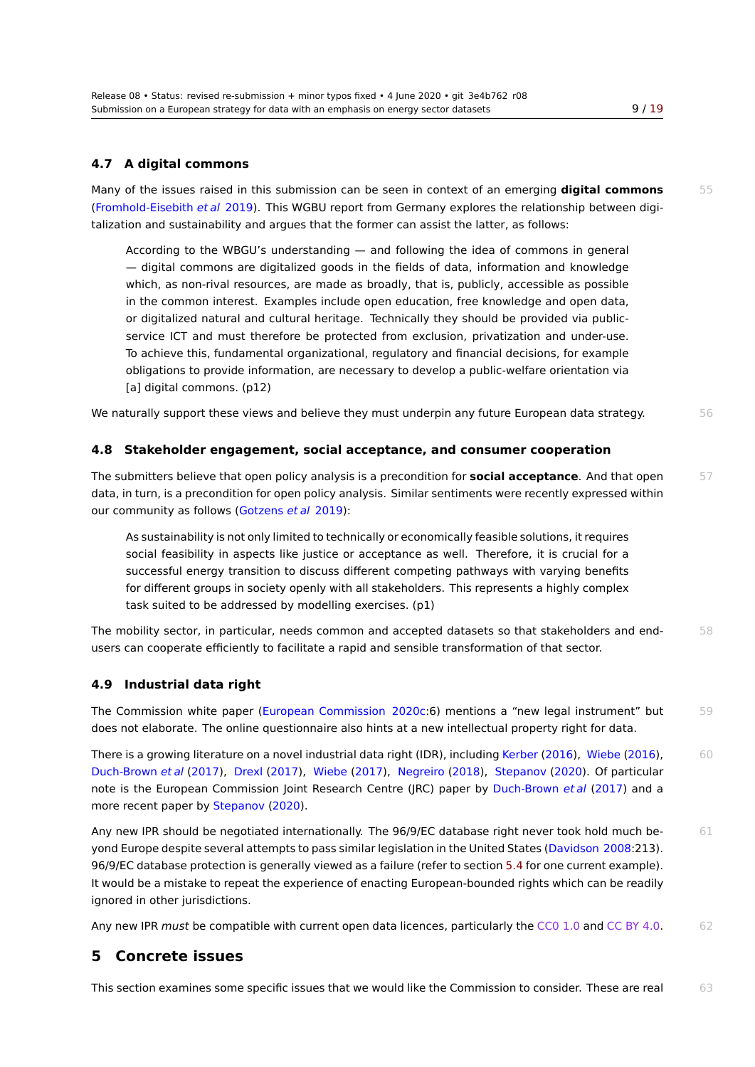### **4.7 A digital commons**

Many of the issues raised in this submission can be seen in context of an emerging **digital commons** 55 (Fromhold-Eisebith *et al* 2019). This WGBU report from Germany explores the relationship between digitalization and sustainability and argues that the former can assist the latter, as follows:

According to the WBGU's understanding — and following the idea of commons in general [— digital commons are](#page-15-8) digitalized goods in the fields of data, information and knowledge which, as non-rival resources, are made as broadly, that is, publicly, accessible as possible in the common interest. Examples include open education, free knowledge and open data, or digitalized natural and cultural heritage. Technically they should be provided via publicservice ICT and must therefore be protected from exclusion, privatization and under-use. To achieve this, fundamental organizational, regulatory and financial decisions, for example obligations to provide information, are necessary to develop a public-welfare orientation via [a] digital commons. (p12)

We naturally support these views and believe they must underpin any future European data strategy.  $56$ 

#### **4.8 Stakeholder engagement, social acceptance, and consumer cooperation**

The submitters believe that open policy analysis is a precondition for **social acceptance**. And that open 57 data, in turn, is a precondition for open policy analysis. Similar sentiments were recently expressed within our community as follows (Gotzens *et al* 2019):

As sustainability is not only limited to technically or economically feasible solutions, it requires social feasibility in aspects like justice or acceptance as well. Therefore, it is crucial for a successful energy tr[ansition to di](#page-15-5)s[cuss](#page-15-5) different competing pathways with varying benefits for different groups in society openly with all stakeholders. This represents a highly complex task suited to be addressed by modelling exercises. (p1)

The mobility sector, in particular, needs common and accepted datasets so that stakeholders and end- 58 users can cooperate efficiently to facilitate a rapid and sensible transformation of that sector.

### **4.9 Industrial data right**

The Commission white paper (European Commission 2020c:6) mentions a "new legal instrument" but 59 does not elaborate. The online questionnaire also hints at a new intellectual property right for data.

There is a growing literature on a novel industrial data right (IDR), including Kerber (2016), Wiebe (2016), 60 Duch-Brown *et al* (2017), Drexl [\(2017\),](#page-15-3) Wiebe (2017), [Negre](#page-15-3)iro (2018), Stepanov (2020). Of particular note is the European Commission Joint Research Centre (JRC) paper by Duch-Brown *et al* (2017) and a more recent paper by Stepanov (2020).

[Any new IPR should be](#page-14-4) ne[gotiated inte](#page-14-5)r[nationa](#page-17-3)l[ly. The](#page-17-3) [96/9/EC d](#page-16-7)a[tabas](#page-16-7)e [right neve](#page-17-4)r [took](#page-17-4) hold much be- 61 yond Europe despite several attempts to pass similar legislation in the Unit[ed States \(Davidso](#page-14-4)n [200](#page-14-4)8:213). 96/9/EC database prot[ection is general](#page-17-4)ly viewed as a failure (refer to section 5.4 for one current example). It would be a mistake to repeat the experience of enacting European-bounded rights which can be readily ignored in other jurisdictions.

Any new IPR *must* be compatible with current open data licences, particular[ly th](#page-10-0)e CC0 1.0 and CC BY 4.0. 62

# **5 Concrete issues**

This section examines some specific issues that we would like the Commission to consider. These are real 63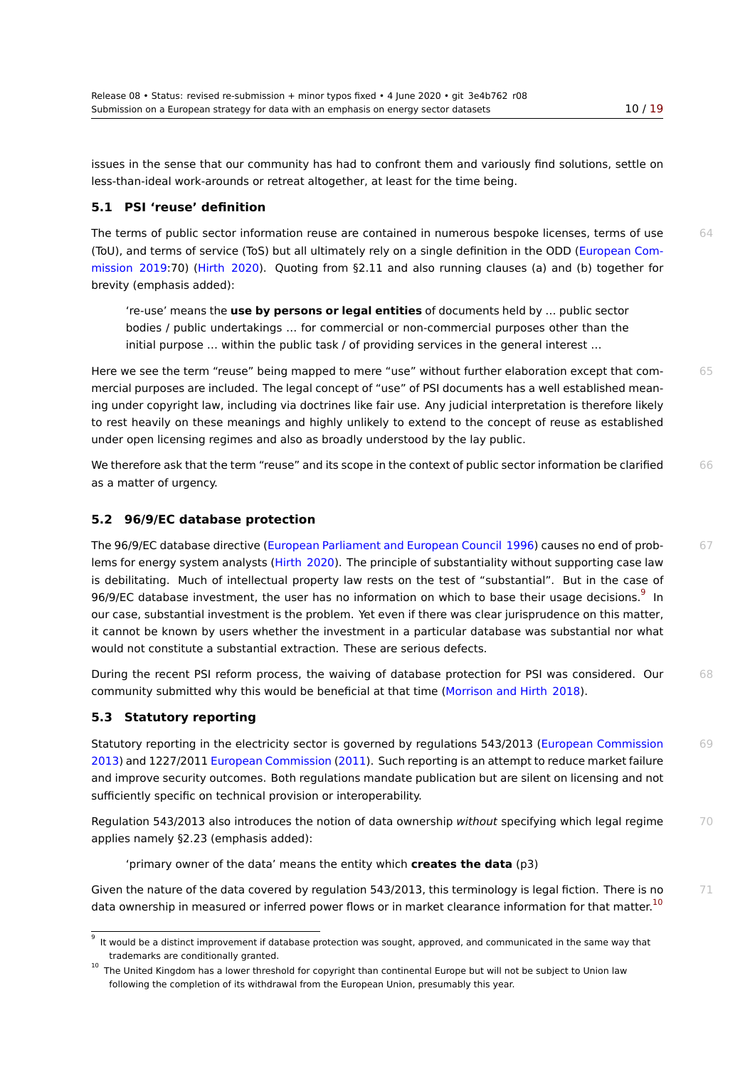issues in the sense that our community has had to confront them and variously find solutions, settle [on](#page-18-0) less-than-ideal work-arounds or retreat altogether, at least for the time being.

#### **5.1 PSI 'reuse' definition**

The terms of public sector information reuse are contained in numerous bespoke licenses, terms of use  $64$ (ToU), and terms of service (ToS) but all ultimately rely on a single definition in the ODD (European Commission 2019:70) (Hirth 2020). Quoting from §2.11 and also running clauses (a) and (b) together for brevity (emphasis added):

're-use' means the **use by persons or legal entities** of documents held by … pu[blic sector](#page-15-9) [bodies /](#page-15-9) publ[ic undertak](#page-15-10)ings … for commercial or non-commercial purposes other than the initial purpose … within the public task / of providing services in the general interest …

Here we see the term "reuse" being mapped to mere "use" without further elaboration except that com- 65 mercial purposes are included. The legal concept of "use" of PSI documents has a well established meaning under copyright law, including via doctrines like fair use. Any judicial interpretation is therefore likely to rest heavily on these meanings and highly unlikely to extend to the concept of reuse as established under open licensing regimes and also as broadly understood by the lay public.

We therefore ask that the term "reuse" and its scope in the context of public sector information be clarified 66 as a matter of urgency.

#### **5.2 96/9/EC database protection**

The 96/9/EC database directive (European Parliament and European Council 1996) causes no end of prob- 67 lems for energy system analysts (Hirth 2020). The principle of substantiality without supporting case law is debilitating. Much of intellectual property law rests on the test of "substantial". But in the case of 96/9/EC database investment, the user has no information on which to base their usage decisions. $^9\,$  In our case, substantial investmen[t is the problem. Yet even if there was clear jurisp](#page-15-11)rudence on this matter, it cannot be known by users wh[ether the inv](#page-15-10)estment in a particular database was substantial nor what would not constitute a substantial extraction. These are serious defects.

During the recent PSI reform process, the waiving of database protection for PSI was considered. Our 68 community submitted why this would be beneficial at that time (Morrison and Hirth 2018).

### **5.3 Statutory reporting**

<span id="page-9-0"></span>Statutory reporting in the electricity sector is governed by regulations 543/2013 (European Commission 69 2013) and 1227/2011 European Commission (2011). Such reporti[ng is an attempt to reduce](#page-16-8) market failure and improve security outcomes. Both regulations mandate publication but are silent on licensing and not sufficiently specific on technical provision or interoperability.

[Regul](#page-15-12)ation 543/2013 [also introduces the not](#page-14-6)i[on of](#page-14-6) data ownership *without* specifying which legal regime 70 applies namely §2.23 (emphasis added):

'primary owner of the data' means the entity which **creates the data** (p3)

Given the nature of the data covered by regulation 543/2013, this terminology is legal fiction. There is no  $71$ data ownership in measured or inferred power flows or in market clearance information for that matter.<sup>10</sup>

<sup>9</sup> It would be a distinct improvement if database protection was sought, approved, and communicated in the same way that trademarks are conditionally granted.

 $10$  The United Kingdom has a lower threshold for copyright than continental Europe but will not be subject to Union law following the completion of its withdrawal from the European Union, presumably this year.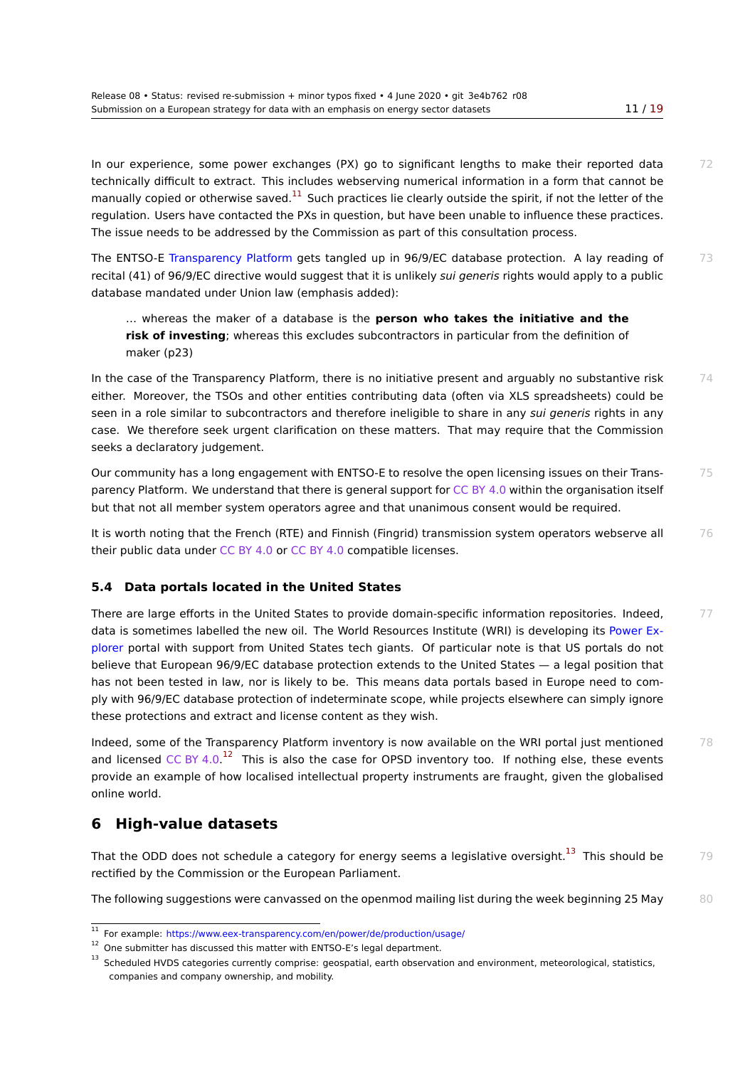In our experience, some power exchanges (PX) go to significant lengths to make their reported d[ata](#page-18-0) 72 technically difficult to extract. This includes webserving numerical information in a form that cannot be manually copied or otherwise saved. $^{11}$  Such practices lie clearly outside the spirit, if not the letter of the regulation. Users have contacted the PXs in question, but have been unable to influence these practices. The issue needs to be addressed by the Commission as part of this consultation process.

The ENTSO-E Transparency Platform [g](#page-10-1)ets tangled up in 96/9/EC database protection. A lay reading of 73 recital (41) of 96/9/EC directive would suggest that it is unlikely *sui generis* rights would apply to a public database mandated under Union law (emphasis added):

… whe[reas the maker of a da](https://transparency.entsoe.eu)tabase is the **person who takes the initiative and the risk of investing**; whereas this excludes subcontractors in particular from the definition of maker (p23)

In the case of the Transparency Platform, there is no initiative present and arguably no substantive risk  $74$ either. Moreover, the TSOs and other entities contributing data (often via XLS spreadsheets) could be seen in a role similar to subcontractors and therefore ineligible to share in any *sui generis* rights in any case. We therefore seek urgent clarification on these matters. That may require that the Commission seeks a declaratory judgement.

Our community has a long engagement with ENTSO-E to resolve the open licensing issues on their Trans- 75 parency Platform. We understand that there is general support for CC BY 4.0 within the organisation itself but that not all member system operators agree and that unanimous consent would be required.

It is worth noting that the French (RTE) and Finnish (Fingrid) transmission system operators webserve all 76 their public data under CC BY 4.0 or CC BY 4.0 compatible licenses.

### **5.4 Data portals located in the United States**

<span id="page-10-0"></span>There are large efforts in the United States to provide domain-specific information repositories. Indeed,  $77$ data is sometimes labelled the new oil. The World Resources Institute (WRI) is developing its Power Explorer portal with support from United States tech giants. Of particular note is that US portals do not believe that European 96/9/EC database protection extends to the United States — a legal position that has not been tested in law, nor is likely to be. This means data portals based in Europe need to comply with 96/9/EC database protection of indeterminate scope, while projects elsewhere can sim[ply ignore](http://powerexplorer.org) [these](http://powerexplorer.org) protections and extract and license content as they wish.

Indeed, some of the Transparency Platform inventory is now available on the WRI portal just mentioned  $78$ and licensed CC BY 4.0.12 This is also the case for OPSD inventory too. If nothing else, these events provide an example of how localised intellectual property instruments are fraught, given the globalised online world.

# **6 High-value d[at](#page-10-2)asets**

That the ODD does not schedule a category for energy seems a legislative oversight.<sup>13</sup> This should be  $79$ rectified by the Commission or the European Parliament.

The following suggestions were canvassed on the openmod mailing list during the week beginning 25 May  $80$ 

<sup>11</sup> For example: https://www.eex-transparency.com/en/power/de/production/usage/

 $12$  One submitter has discussed this matter with ENTSO-E's legal department.

<span id="page-10-2"></span><span id="page-10-1"></span><sup>&</sup>lt;sup>13</sup> Scheduled HVDS categories currently comprise: geospatial, earth observation and environment, meteorological, statistics, companies and company ownership, and mobility.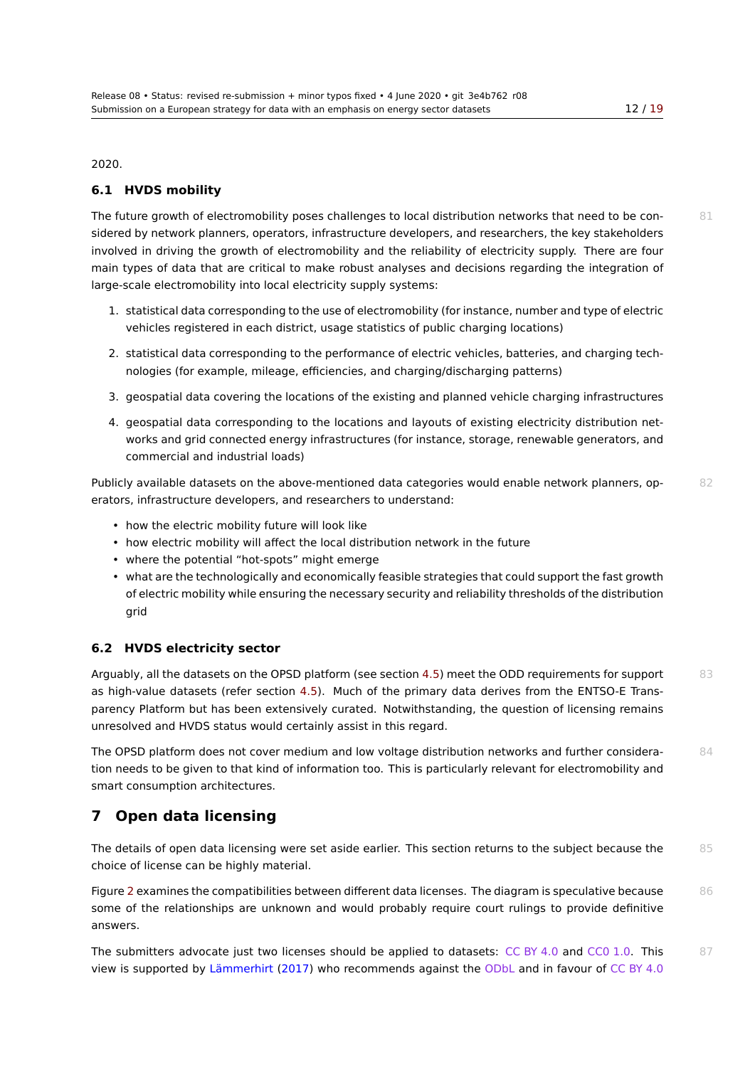2020.

#### **6.1 HVDS mobility**

The future growth of electromobility poses challenges to local distribution networks that need to be con-<br>81 sidered by network planners, operators, infrastructure developers, and researchers, the key stakeholders involved in driving the growth of electromobility and the reliability of electricity supply. There are four main types of data that are critical to make robust analyses and decisions regarding the integration of large-scale electromobility into local electricity supply systems:

- 1. statistical data corresponding to the use of electromobility (for instance, number and type of electric vehicles registered in each district, usage statistics of public charging locations)
- 2. statistical data corresponding to the performance of electric vehicles, batteries, and charging technologies (for example, mileage, efficiencies, and charging/discharging patterns)
- 3. geospatial data covering the locations of the existing and planned vehicle charging infrastructures
- 4. geospatial data corresponding to the locations and layouts of existing electricity distribution networks and grid connected energy infrastructures (for instance, storage, renewable generators, and commercial and industrial loads)

Publicly available datasets on the above-mentioned data categories would enable network planners, op-<br>82 erators, infrastructure developers, and researchers to understand:

- how the electric mobility future will look like
- how electric mobility will affect the local distribution network in the future
- where the potential "hot-spots" might emerge
- what are the technologically and economically feasible strategies that could support the fast growth of electric mobility while ensuring the necessary security and reliability thresholds of the distribution grid

#### **6.2 HVDS electricity sector**

Arguably, all the datasets on the OPSD platform (see section 4.5) meet the ODD requirements for support 83 as high-value datasets (refer section 4.5). Much of the primary data derives from the ENTSO-E Transparency Platform but has been extensively curated. Notwithstanding, the question of licensing remains unresolved and HVDS status would certainly assist in this re[gard](#page-6-1).

The OPSD platform does not cover m[ediu](#page-6-1)m and low voltage distribution networks and further considera- 84 tion needs to be given to that kind of information too. This is particularly relevant for electromobility and smart consumption architectures.

# **7 Open data licensing**

<span id="page-11-0"></span>The details of open data licensing were set aside earlier. This section returns to the subject because the 85 choice of license can be highly material.

Figure 2 examines the compatibilities between different data licenses. The diagram is speculative because 86 some of the relationships are unknown and would probably require court rulings to provide definitive answers.

The s[ub](#page-12-0)mitters advocate just two licenses should be applied to datasets:  $CC$  BY 4.0 and  $CC0$  1.0. This  $87$ view is supported by Lämmerhirt (2017) who recommends against the ODbL and in favour of CC BY 4.0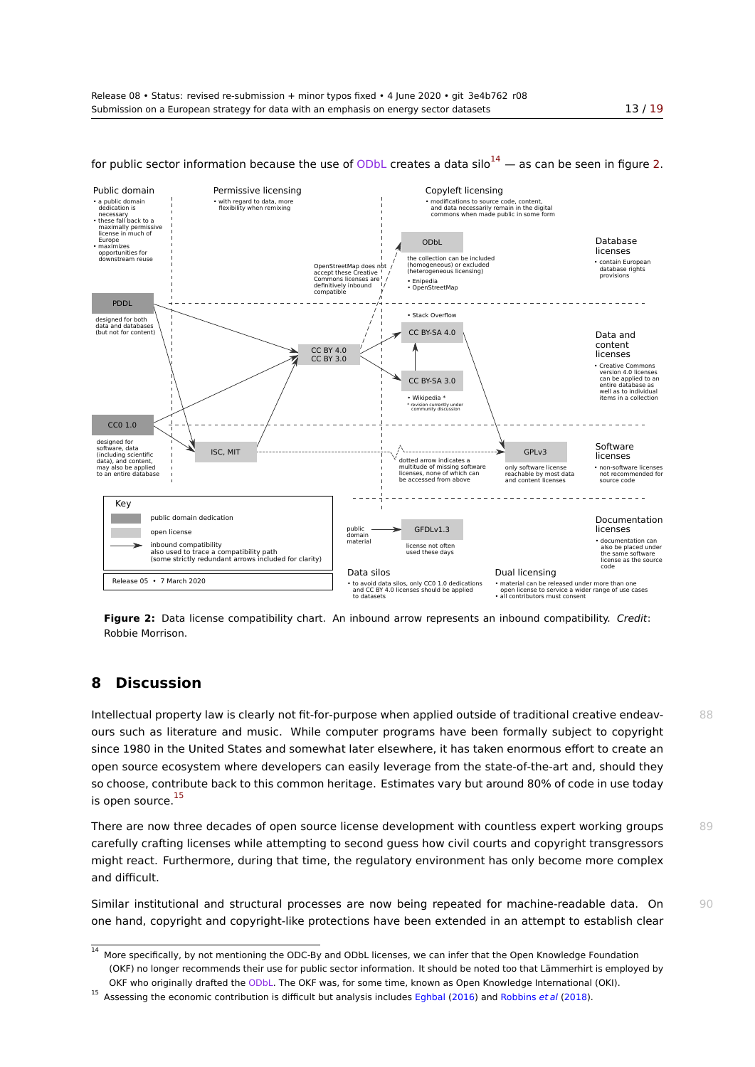<span id="page-12-0"></span>

for public sector information because the use of ODbL creates a data  $\sinh^{-1/4}$  — as can be seen in figure [2.](#page-18-0)

**Figure 2:** Data license compatibility chart. An inbound arrow represents an inbound compatibility. *Credit*: Robbie Morrison.

# **8 Discussion**

Intellectual property law is clearly not fit-for-purpose when applied outside of traditional creative endeav- 88 ours such as literature and music. While computer programs have been formally subject to copyright since 1980 in the United States and somewhat later elsewhere, it has taken enormous effort to create an open source ecosystem where developers can easily leverage from the state-of-the-art and, should they so choose, contribute back to this common heritage. Estimates vary but around 80% of code in use today is open source.<sup>15</sup>

There are now three decades of open source license development with countless expert working groups 89 carefully crafting licenses while attempting to second guess how civil courts and copyright transgressors might react. F[urt](#page-12-2)hermore, during that time, the regulatory environment has only become more complex and difficult.

Similar institutional and structural processes are now being repeated for machine-readable data. On 90 one hand, copyright and copyright-like protections have been extended in an attempt to establish clear

 $\frac{14}{14}$  More specifically, by not mentioning the ODC-By and ODbL licenses, we can infer that the Open Knowledge Foundation (OKF) no longer recommends their use for public sector information. It should be noted too that Lämmerhirt is employed by OKF who originally drafted the ODbL. The OKF was, for some time, known as Open Knowledge International (OKI).

<span id="page-12-2"></span><span id="page-12-1"></span><sup>15</sup> Assessing the economic contribution is difficult but analysis includes Eghbal (2016) and Robbins *et al* (2018).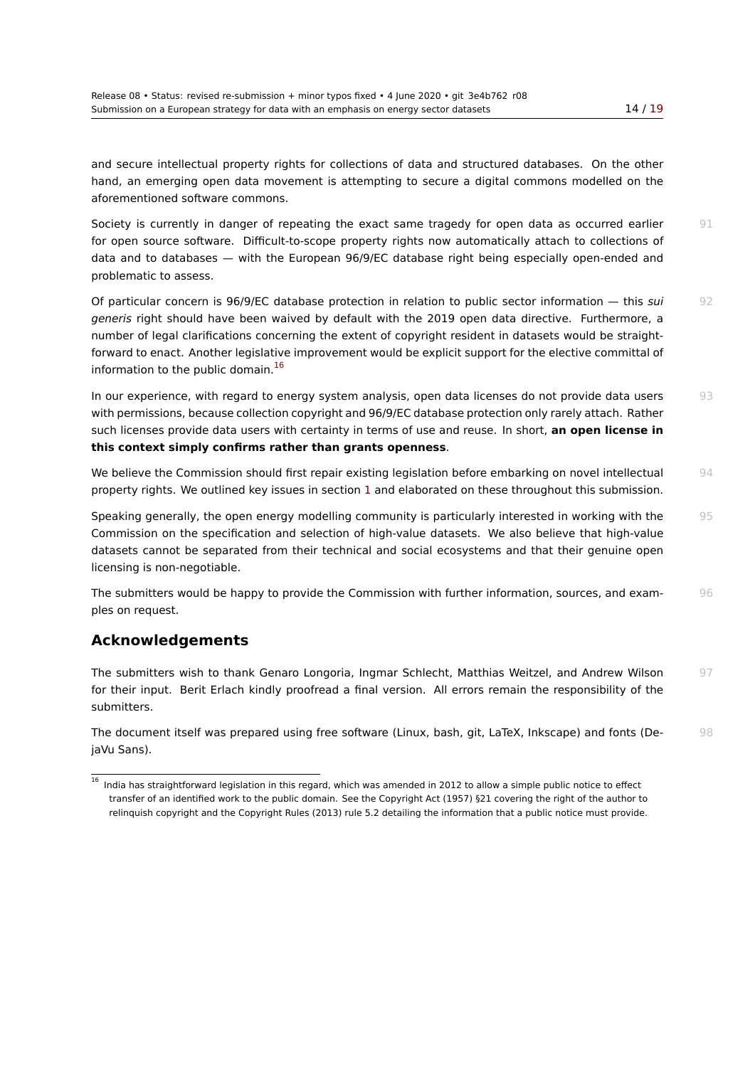and secure intellectual property rights for collections of data and structured databases. On the ot[her](#page-18-0) hand, an emerging open data movement is attempting to secure a digital commons modelled on the aforementioned software commons.

Society is currently in danger of repeating the exact same tragedy for open data as occurred earlier 91 for open source software. Difficult-to-scope property rights now automatically attach to collections of data and to databases — with the European 96/9/EC database right being especially open-ended and problematic to assess.

Of particular concern is 96/9/EC database protection in relation to public sector information — this *sui* 92 *generis* right should have been waived by default with the 2019 open data directive. Furthermore, a number of legal clarifications concerning the extent of copyright resident in datasets would be straightforward to enact. Another legislative improvement would be explicit support for the elective committal of information to the public domain. $^{16}$ 

In our experience, with regard to energy system analysis, open data licenses do not provide data users 93 with permissions, because collection copyright and 96/9/EC database protection only rarely attach. Rather such licenses provide data users [wi](#page-13-0)th certainty in terms of use and reuse. In short, **an open license in this context simply confirms rather than grants openness**.

We believe the Commission should first repair existing legislation before embarking on novel intellectual 94 property rights. We outlined key issues in section 1 and elaborated on these throughout this submission.

Speaking generally, the open energy modelling community is particularly interested in working with the 95 Commission on the specification and selection of high-value datasets. We also believe that high-value datasets cannot be separated from their technic[al](#page-1-1) and social ecosystems and that their genuine open licensing is non‑negotiable.

The submitters would be happy to provide the Commission with further information, sources, and exam-<br>
<sup>96</sup> ples on request.

# **Acknowledgements**

The submitters wish to thank Genaro Longoria, Ingmar Schlecht, Matthias Weitzel, and Andrew Wilson 97 for their input. Berit Erlach kindly proofread a final version. All errors remain the responsibility of the submitters.

The document itself was prepared using free software (Linux, bash, git, LaTeX, Inkscape) and fonts (De- 98 jaVu Sans).

<span id="page-13-0"></span> $\frac{16}{16}$  India has straightforward legislation in this regard, which was amended in 2012 to allow a simple public notice to effect transfer of an identified work to the public domain. See the Copyright Act (1957) §21 covering the right of the author to relinquish copyright and the Copyright Rules (2013) rule 5.2 detailing the information that a public notice must provide.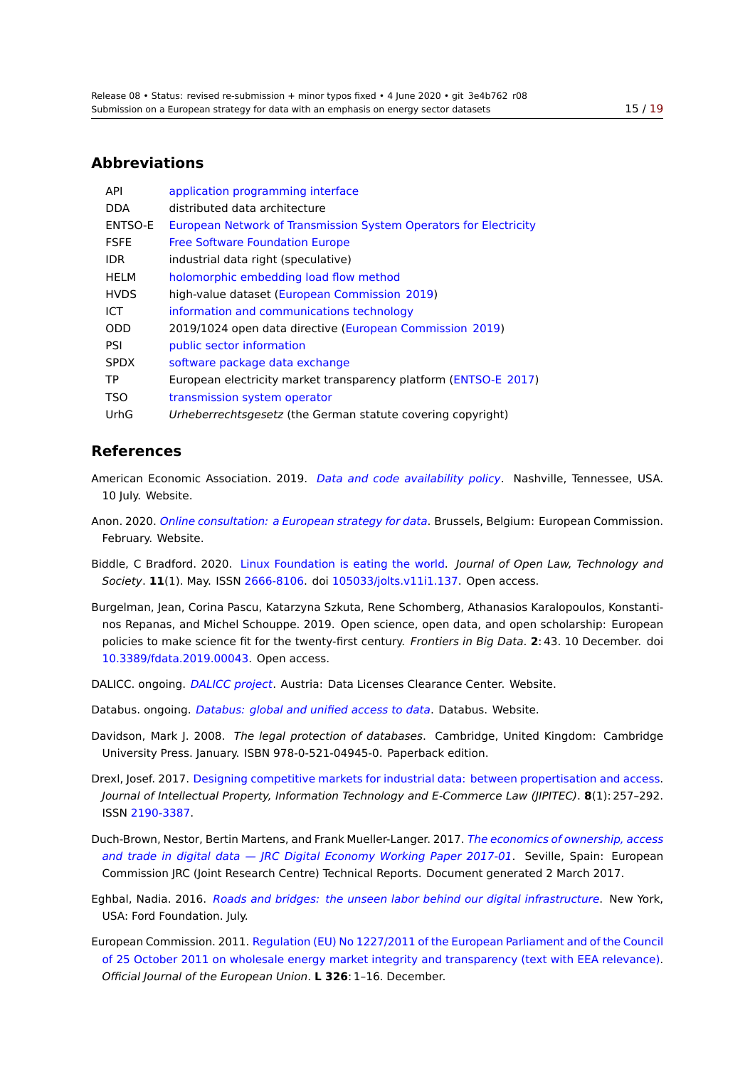### **Abbreviations**

| <b>API</b>  | application programming interface                                 |
|-------------|-------------------------------------------------------------------|
| DDA         | distributed data architecture                                     |
| ENTSO-E     | European Network of Transmission System Operators for Electricity |
| <b>FSFE</b> | <b>Free Software Foundation Europe</b>                            |
| <b>IDR</b>  | industrial data right (speculative)                               |
| <b>HELM</b> | holomorphic embedding load flow method                            |
| <b>HVDS</b> | high-value dataset (European Commission 2019)                     |
| ICT         | information and communications technology                         |
| <b>ODD</b>  | 2019/1024 open data directive (European Commission 2019)          |
| <b>PSI</b>  | public sector information                                         |
| <b>SPDX</b> | software package data exchange                                    |
| TP.         | European electricity market transparency platform (ENTSO-E 2017)  |
| TSO         | transmission system operator                                      |
| UrhG        | Urheberrechtsgesetz (the German statute covering copyright)       |

# **Referenc[es](https://en.wikipedia.org/wiki/Transmission_system_operator)**

- American Economic Association. 2019. *Data and code availability policy*. Nashville, Tennessee, USA. 10 July. Website.
- <span id="page-14-1"></span>Anon. 2020. *Online consultation: a European strategy for data*. Brussels, Belgium: European Commission. February. Website.
- Biddle, C Bradford. 2020. Linux Foundation is eating the world. *Journal of Open Law, Technology and Society*. **11**(1). May. ISSN 2666-8106. doi [105033/jolts.v11i1](https://ec.europa.eu/digital-single-market/en/news/online-consultation-european-strategy-data).137. Open access.
- Burgelman, Jean, Corina Pascu, Katarzyna Szkuta, Rene Schomberg, Athanasios Karalopoulos, Konstantinos Repanas, and Michel [Schouppe. 2019. Open science, open](https://jolts.world/index.php/jolts/article/download/137/261) data, and open scholarship: European policies to make science [fit for the tw](https://www.worldcat.org/issn/2666-8106)ent[y-first century.](http://dx.doi.org/105033/jolts.v11i1.137) *Frontiers in Big Data*. **2**: 43. 10 December. doi 10.3389/fdata.2019.00043. Open access.
- <span id="page-14-0"></span>DALICC. ongoing. *DALICC project*. Austria: Data Licenses Clearance Center. Website.
- D[atabus. ongoing.](http://dx.doi.org/10.3389/fdata.2019.00043) *Databus: global and unified access to data*. Databus. Website.
- <span id="page-14-3"></span>Davidson, Mark J. 2008. *The legal protection of databases*. Cambridge, United Kingdom: Cambridge University Press[. January. ISBN](https://dalicc.net) 978-0-521-04945-0. Paperback edition.
- <span id="page-14-2"></span>Drexl, Josef. 2017. [Designing competitive markets for industria](https://databus.dbpedia.org)l data: between propertisation and access. *Journal of Intellectual Property, Information Technology and E-Commerce Law (JIPITEC)*. **8**(1): 257–292. ISSN 2190-3387.
- <span id="page-14-5"></span>Duch-Brown, Nest[or, Bertin Martens, and Frank Mueller-Langer. 2017.](http://www.jipitec.eu/issues/jipitec-8-4-2017/4636/JIPITEC_8_4_2017_257_Drexl) *The economics of ownership, access and trade in digital data — JRC Digital Economy Working Paper 2017-01*. Seville, Spain: European Com[mission JRC](https://www.worldcat.org/issn/2190-3387) (Joint Research Centre) Technical Reports. Document generated 2 March 2017.
- <span id="page-14-4"></span>Eghbal, Nadia. 2016. *Roads and bridges: the unseen labor behind [our digital infrastructure](https://ec.europa.eu/jrc/sites/jrcsh/files/jrc104756.pdf)*. New York, [USA: Ford Foundation. July.](https://ec.europa.eu/jrc/sites/jrcsh/files/jrc104756.pdf)
- <span id="page-14-6"></span>European Commission. 2011. Regulation (EU) No 1227/2011 of the European Parliament and of the Council of 25 October 2011 [on wholesale energy market integrity and transparency \(text with EEA](https://www.fordfoundation.org/media/2976/roads-and-bridges-the-unseen-labor-behind-our-digital-infrastructure.pdf) relevance). *Official Journal of the European Union*. **L 326**: 1–16. December.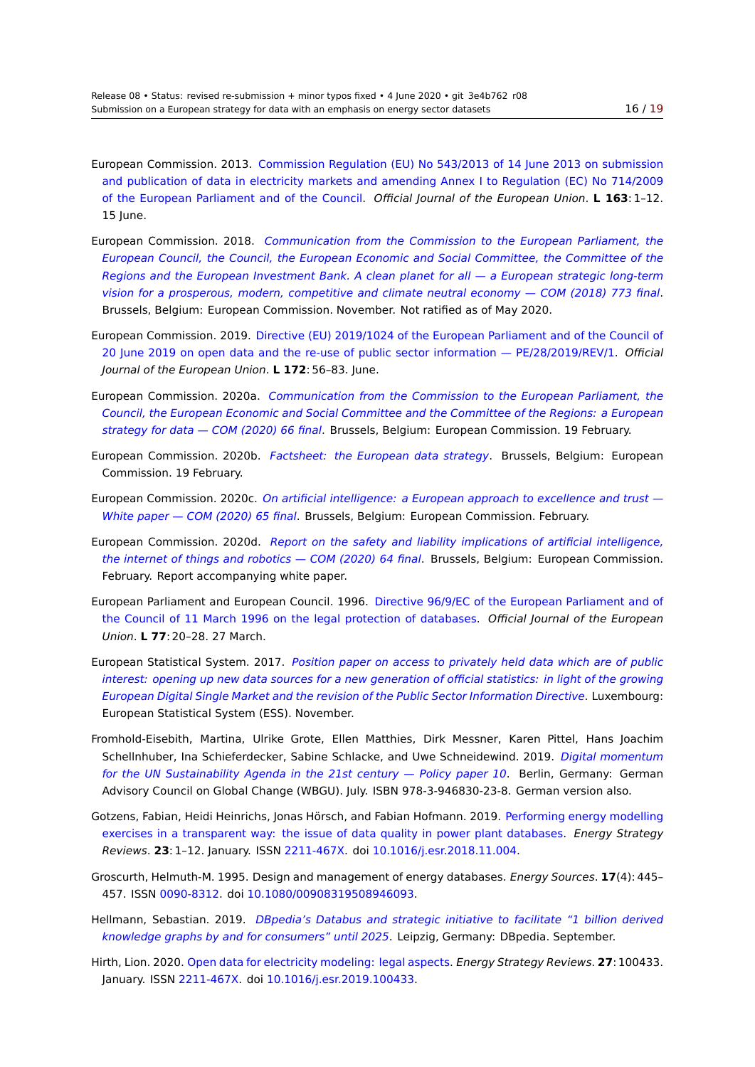- European Commission. 2013. Commission Regulation (EU) No 543/2013 of 14 June 2013 on submiss[ion](#page-18-0) and publication of data in electricity markets and amending Annex I to Regulation (EC) No 714/2009 of the European Parliament and of the Council. *Official Journal of the European Union*. **L 163**: 1–12. 15 June.
- <span id="page-15-12"></span>European Commission. 2018. *[Communication from the Commission to the European Parliament, the](http://eur-lex.europa.eu/LexUriServ/LexUriServ.do?uri=OJ:L:2013:163:0001:0012:EN:PDF) [European Council, the Council, the European E](http://eur-lex.europa.eu/LexUriServ/LexUriServ.do?uri=OJ:L:2013:163:0001:0012:EN:PDF)conomic and Social Committee, the Committee of the Regions and the European Investment Bank. A clean planet for all — a European strategic long‑term vision for a prosperous, modern, competitive and climate neutral economy — COM (2018) 773 final*. [Brussels, Belgium: European Commission. November. Not ratified as of May 2020.](https://eur-lex.europa.eu/legal-content/EN/TXT/PDF/?uri=CELEX:52018DC0773&from=EN)
- European Commission. 2019. [Directive \(EU\) 2019/1024 of the European Parliament and of the Council of](https://eur-lex.europa.eu/legal-content/EN/TXT/PDF/?uri=CELEX:52018DC0773&from=EN) [20 June 2019 on open data and the re-use of public sector information — PE/28/2019/REV/1.](https://eur-lex.europa.eu/legal-content/EN/TXT/PDF/?uri=CELEX:52018DC0773&from=EN) *Official Journal of the European Union*. **L 172**: 56–83. June.
- <span id="page-15-9"></span>European Commission. 2020a. *[Communication from the Commission to the European Parliament, the](https://eur-lex.europa.eu/legal-content/EN/TXT/PDF/?uri=CELEX:32019L1024&from=EN) [Council, the European Economic and Social Committee and the Committee of the Regions: a E](https://eur-lex.europa.eu/legal-content/EN/TXT/PDF/?uri=CELEX:32019L1024&from=EN)uropean strategy for data — COM (2020) 66 final*. Brussels, Belgium: European Commission. 19 February.
- <span id="page-15-0"></span>European Commission. 2020b. *[Factsheet: the European data strategy](https://ec.europa.eu/info/sites/info/files/communication-european-strategy-data-19feb2020_en.pdf)*. Brussels, Belgium: European [Commission. 19 February.](https://ec.europa.eu/info/sites/info/files/communication-european-strategy-data-19feb2020_en.pdf)
- <span id="page-15-1"></span>E[uropean Commission. 2020c.](https://ec.europa.eu/info/sites/info/files/communication-european-strategy-data-19feb2020_en.pdf) *On artificial intelligence: a European approach to excellence and trust — White paper — COM (2020) 65 final*[. Brussels, Belgium: European Com](https://ec.europa.eu/commission/presscorner/api/files/attachment/862109/European_data_strategy_en.pdf.pdf)mission. February.
- <span id="page-15-3"></span>European Commission. 2020d. *Report on the safety and liability implications of artificial intelligence, the internet of things and robotics — COM (2020) 64 final*[. Brussels, Belgium: European Commission.](https://ec.europa.eu/info/sites/info/files/commission-white-paper-artificial-intelligence-feb2020_en.pdf) [February. Report accompanying whi](https://ec.europa.eu/info/sites/info/files/commission-white-paper-artificial-intelligence-feb2020_en.pdf)te paper.
- <span id="page-15-4"></span>European Parliament and European Council. 1996. [Directive 96/9/EC of the European Parliament and of](https://ec.europa.eu/info/sites/info/files/report-safety-liability-artificial-intelligence-feb2020_en_1.pdf) [the Council of 11 March 1996 on the legal protection of d](https://ec.europa.eu/info/sites/info/files/report-safety-liability-artificial-intelligence-feb2020_en_1.pdf)atabases. *Official Journal of the European Union*. **L 77**: 20–28. 27 March.
- <span id="page-15-11"></span>European Statistical System. 2017. *Position paper [on access to privately held data which are of public](http://eur-lex.europa.eu/legal-content/EN/TXT/PDF/?uri=CELEX:31996L0009&from=EN) [interest: opening up new data sources for a new generation of officia](http://eur-lex.europa.eu/legal-content/EN/TXT/PDF/?uri=CELEX:31996L0009&from=EN)l statistics: in light of the growing European Digital Single Market and the revision of the Public Sector Information Directive*. Luxembourg: European Statistical System (ESS)[. November.](https://ec.europa.eu/eurostat/documents/7330775/8463599/ESS+Position+Paper+on+Access+to+privately+held+data+final+-+Nov+2017.pdf)
- <span id="page-15-2"></span>Fr[omhold-Eisebith, Martina, Ulrike Grote, Ellen Matthies, Dirk Messner, Karen Pittel, Hans Joachim](https://ec.europa.eu/eurostat/documents/7330775/8463599/ESS+Position+Paper+on+Access+to+privately+held+data+final+-+Nov+2017.pdf) [Schellnhuber, Ina Schieferdecker, Sabine Schlacke, and Uwe Schneidewind. 2019.](https://ec.europa.eu/eurostat/documents/7330775/8463599/ESS+Position+Paper+on+Access+to+privately+held+data+final+-+Nov+2017.pdf) *Digital momentum for the UN Sustainability Agenda in the 21st century — Policy paper 10*. Berlin, Germany: German Advisory Council on Global Change (WBGU). July. ISBN 978-3-946830-23-8. German version also.
- <span id="page-15-8"></span>Gotzens, Fabian, Heidi Heinrichs, Jonas Hörsch, and Fabian Hofmann. 2019. Performin[g energy modelling](https://www.wbgu.de/fileadmin/user_upload/wbgu/publikationen/politikpapiere/pp10_2019/pdf/WBGU_PP10_EN.pdf) [exercises in a transparent way: the issue of data quality in power plant d](https://www.wbgu.de/fileadmin/user_upload/wbgu/publikationen/politikpapiere/pp10_2019/pdf/WBGU_PP10_EN.pdf)atabases. *Energy Strategy Reviews*. **23**: 1–12. January. ISSN 2211-467X. doi 10.1016/j.esr.2018.11.004.
- <span id="page-15-5"></span>Groscurth, Helmuth‑M. 1995. Design and management of energy databases. *[Energy Sources](http://www.sciencedirect.com/science/article/pii/S2211467X18301056)*. **17**(4): 445– 457. ISSN 0090-8312. doi [10.1080/00908319508946093.](http://www.sciencedirect.com/science/article/pii/S2211467X18301056)
- <span id="page-15-6"></span>Hellmann, Sebastian. 2019. *DBp[edia's Datab](https://www.worldcat.org/issn/2211-467X)us [and strategic initiative to f](http://dx.doi.org/10.1016/j.esr.2018.11.004)acilitate "1 billion derived knowledge graphs by and for consumers" until 2025*. Leipzig, Germany: DBpedia. September.
- <span id="page-15-10"></span><span id="page-15-7"></span>Hirth, Lion. 2020. [Open d](https://www.worldcat.org/issn/0090-8312)ata [for electricity modeling: legal as](http://dx.doi.org/10.1080/00908319508946093)pects. *Energy Strategy Reviews*. **27**: 100433. January. ISSN 2211-467X. doi [10.1016/j.esr.2019.100433.](https://downloads.dbpedia.org/repo/lts/publication/strategy/2019.09.09/strategy_databus_initiative.pdf)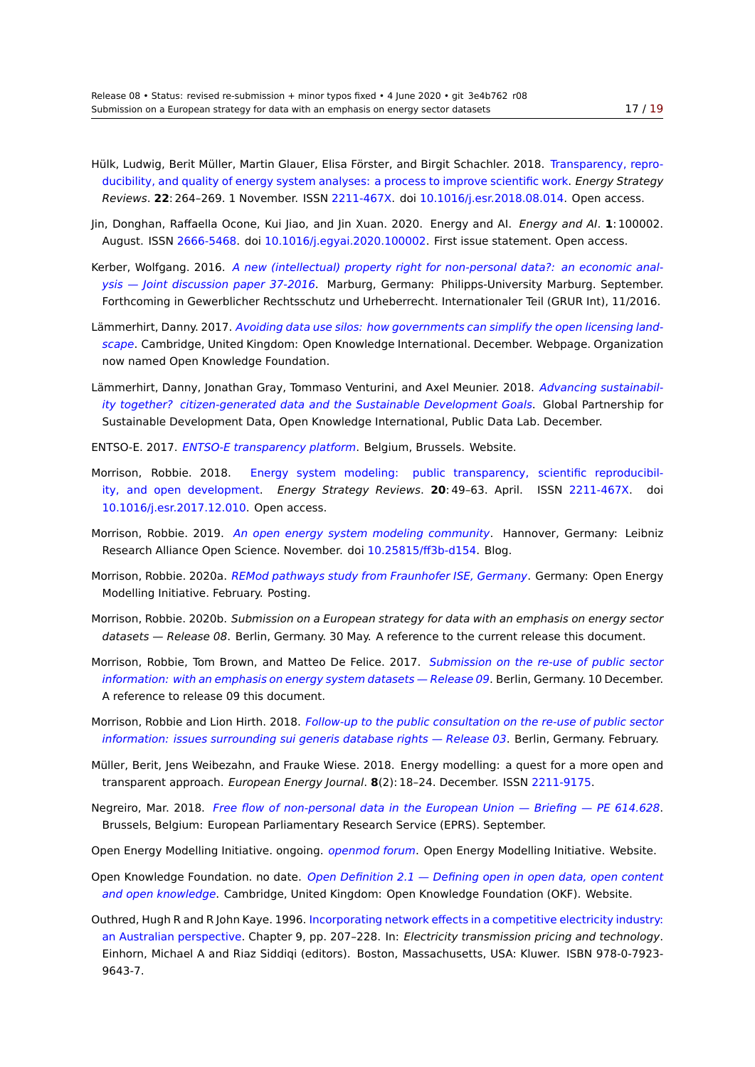- Hülk, Ludwig, Berit Müller, Martin Glauer, Elisa Förster, and Birgit Schachler. 2018. Transparency, rep[ro](#page-18-0)ducibility, and quality of energy system analyses: a process to improve scientific work. *Energy Strategy Reviews*. **22**: 264–269. 1 November. ISSN 2211-467X. doi 10.1016/j.esr.2018.08.014. Open access.
- <span id="page-16-2"></span>Jin, Donghan, Raffaella Ocone, Kui Jiao, and Jin Xuan. 2020. Energy and AI. *Energy and AI*. **1**[: 100002.](https://www.sciencedirect.com/science/article/pii/S2211467X18300828/pdfft?isDTMRedir=true&download=true) August. ISSN 2666-5468. doi [10.1016/j.egyai.2020.100002. First issue statement. Op](https://www.sciencedirect.com/science/article/pii/S2211467X18300828/pdfft?isDTMRedir=true&download=true)en access.
- <span id="page-16-6"></span>Kerber, Wolfgang. 2016. *A new (intellectu[al\) property](https://www.worldcat.org/issn/2211-467X) righ[t for non-personal data?: a](http://dx.doi.org/10.1016/j.esr.2018.08.014)n economic analysis — Joint discussion paper 37-2016*. Marburg, Germany: Philipps-University Marburg. September. Forthcomingi[n Gewerblic](https://www.worldcat.org/issn/2666-5468)her [Rechtsschutz und Urheberrech](http://dx.doi.org/10.1016/j.egyai.2020.100002)t. Internationaler Teil (GRUR Int), 11/2016.
- Lämmerhirt, Danny. 2017. *[Avoiding data use silos: how governments can simplify the open licensing land](https://www.uni-marburg.de/fb02/makro/forschung/magkspapers/paper_2016/37-2016_kerber.pdf)scape*[. Cambridge, United Kingdom: Op](https://www.uni-marburg.de/fb02/makro/forschung/magkspapers/paper_2016/37-2016_kerber.pdf)en Knowledge International. December. Webpage. Organization now named Open Knowledge Foundation.
- Lämmerhirt, Danny, Jonat[han Gray, Tommaso Venturini, and Axel Meunier. 2018.](https://research.okfn.org/avoiding-data-use-silos/) *Advancing sustainabil[ity tog](https://research.okfn.org/avoiding-data-use-silos/)ether? citizen-generated data and the Sustainable Development Goals*. Global Partnership for Sustainable Development Data, Open Knowledge International, Public Data Lab. December.
- ENTSO-E. 2017. *ENTSO-E transparency platform*. Belgium, Brussels. Website.
- Morrison, Robbie. 2018. [Energy system modeling: public transparency,](http://www.data4sdgs.org/sites/default/files/services_files/Advancing%20Sustainability%20Together%20CGD%20Report_0.pdf) scientific reproducibility, and open development. *Energy Strategy Reviews*. **20**: 49–63. April. ISSN 2211-467X. doi 10.1016/j.esr.[2017.12.010. Open access.](https://transparency.entsoe.eu)
- <span id="page-16-3"></span>Morrison, Robbie. 2019. *An [open energy system modeling community](https://www.sciencedirect.com/science/article/pii/S2211467X17300949/pdfft?md5=bec0fa165fae52cdeb539331df3e3c98&pid=1-s2.0-S2211467X17300949-main.pdf)*. Hannover, Germany: Leibniz [Research Alliance Open Scien](https://www.sciencedirect.com/science/article/pii/S2211467X17300949/pdfft?md5=bec0fa165fae52cdeb539331df3e3c98&pid=1-s2.0-S2211467X17300949-main.pdf)ce. November. doi 10.25815/ff3b-d154. Blog.
- <span id="page-16-5"></span>M[orrison, Robbie. 2020a.](http://dx.doi.org/10.1016/j.esr.2017.12.010) *REMod pathways study from Fraunhofer ISE, Germany*. Germany: Open Energy Modelling Initiative. Feb[ruary. Posting.](https://genr.eu/wp/an-open-energy-system-modeling-community/)
- Morrison, Robbie. 2020b. *Submission on a Europe[an strategy for data w](http://dx.doi.org/10.25815/ff3b-d154)ith an emphasis on energy sector datasets — Release 08*. [Berlin, Germany. 30 May. A reference to the current re](https://forum.openmod-initiative.org/t/remod-pathways-study-from-fraunhofer-ise-germany/1936)lease this document.
- Morrison, Robbie, Tom Brown, and Matteo De Felice. 2017. *Submission on the re-use of public sector information: with an emphasis on energy system datasets — Release 09*. Berlin, Germany. 10 December. A reference to release 09 this document.
- <span id="page-16-0"></span>Morrison, Robbie and Lion Hirth. 2018. *Follow‑up to the public [consultation on the re‑use of public sector](https://forum.openmod-initiative.org/uploads/default/original/1X/d659fda325438884e6e78b372772ed7069633f97.pdf) [information: issues surrounding sui generis database rights — Release](https://forum.openmod-initiative.org/uploads/default/original/1X/d659fda325438884e6e78b372772ed7069633f97.pdf) 03*. Berlin, Germany. February.
- <span id="page-16-8"></span>Müller, Berit, Jens Weibezahn, and Frauke Wiese. 2018. Energy modelling: a quest for a more open and transparent approach. *European Energy Journal*. **8**[\(2\): 18–24. December. ISSN](https://forum.openmod-initiative.org/uploads/default/original/1X/13d808d638e2aeaba9bfcea9ba93bd291d44c1f3.pdf) 2211-9175.
- <span id="page-16-4"></span>Negreiro, Mar. 2018. *[Free flow of non-personal data in the European Unio](https://forum.openmod-initiative.org/uploads/default/original/1X/13d808d638e2aeaba9bfcea9ba93bd291d44c1f3.pdf)n — Briefing — PE 614.628*. Brussels, Belgium: European Parliamentary Research Service (EPRS). September.
- <span id="page-16-7"></span>Open Energy Modelling Initiative. ongoing. *openmod forum*. Open Energy Model[ling Initiativ](https://www.worldcat.org/issn/2211-9175)e. Website.
- Open Knowledge Foundation. no date. *[Open Definition 2.1 Defining open in open data, open content](http://www.europarl.europa.eu/RegData/etudes/BRIE/2017/614628/EPRS_BRI%282017%29614628_EN.pdf) and open knowledge*. Cambridge, United Kingdom: Open Knowledge Foundation (OKF). Website.
- <span id="page-16-1"></span>Outhred, Hugh R and R John Kaye. 1996. Inc[orporating netwo](https://forum.openmod-initiative.org)rk effects in a competitive electricity industry: an Australian perspective. Chapter 9, pp. 207–228. In: *[Electricity transmission pricing and technology](https://opendefinition.org/od/2.1/en/)*. [Einhorn, Michael A an](https://opendefinition.org/od/2.1/en/)d Riaz Siddiqi (editors). Boston, Massachusetts, USA: Kluwer. ISBN 978-0-7923- 9643-7.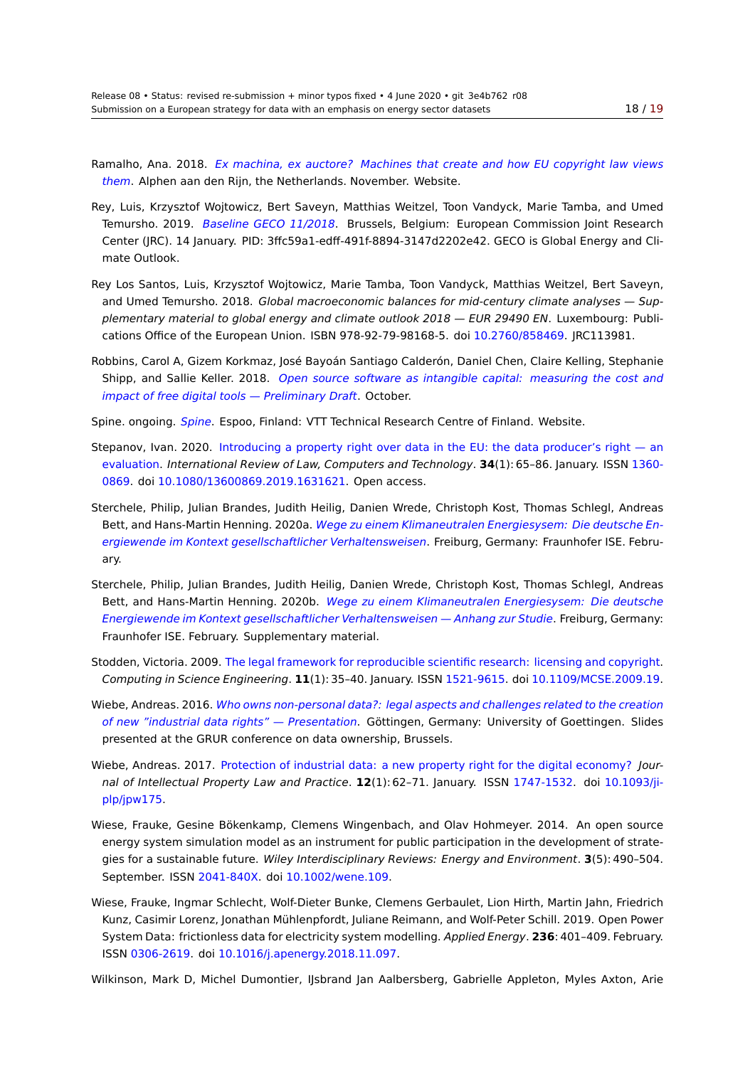Ramalho, Ana. 2018. *Ex machina, ex auctore? Machines that create and how EU copyright law vie[ws](#page-18-0) them*. Alphen aan den Rijn, the Netherlands. November. Website.

- Rey, Luis, Krzysztof Wojtowicz, Bert Saveyn, Matthias Weitzel, Toon Vandyck, Marie Tamba, and Umed Temursho. 2019. *Baseline GECO 11/2018*[. Brussels, Belgium: European Commission Joint Research](http://copyrightblog.kluweriplaw.com/2018/11/12/ex-machina-ex-auctore-machines-that-create-and-how-eu-copyright-law-views-them/) [Cente](http://copyrightblog.kluweriplaw.com/2018/11/12/ex-machina-ex-auctore-machines-that-create-and-how-eu-copyright-law-views-them/)r (JRC). 14 January. PID: 3ffc59a1-edff-491f-8894-3147d2202e42. GECO is Global Energy and Climate Outlook.
- Rey Los Santos, Lui[s, Krzysztof Wojtowicz, M](http://data.europa.eu/89h/3ffc59a1-edff-491f-8894-3147d2202e42)arie Tamba, Toon Vandyck, Matthias Weitzel, Bert Saveyn, and Umed Temursho. 2018. *Global macroeconomic balances for mid-century climate analyses — Supplementary material to global energy and climate outlook 2018 — EUR 29490 EN*. Luxembourg: Publications Office of the European Union. ISBN 978-92-79-98168-5. doi 10.2760/858469. JRC113981.
- Robbins, Carol A, Gizem Korkmaz, José Bayoán Santiago Calderón, Daniel Chen, Claire Kelling, Stephanie Shipp, and Sallie Keller. 2018. *Open source software as intangible capital: measuring the cost and impact of free digital tools — Preliminary Draft*. October.
- Spine. ongoing. *Spine*. Espoo, Finland: VTT Technical Research Centre of Finland. Website.
- <span id="page-17-2"></span>Stepanov, Ivan. 2020. Introducin[g a property right over data in the EU: the data producer's right — an](https://www.sipotra.it/wp-content/uploads/2019/02/Open-Source-Software-as-Intangible-Capital-Measuring-the-Cost-and-Impact-of-Free-Digital-Tools-Preliminary-Draft.pdf) evaluation. *[International Review of Law, Compu](https://www.sipotra.it/wp-content/uploads/2019/02/Open-Source-Software-as-Intangible-Capital-Measuring-the-Cost-and-Impact-of-Free-Digital-Tools-Preliminary-Draft.pdf)ters and Technology*. **34**(1): 65–86. January. ISSN 1360- 0869. doi 10.[1080/1](http://www.spine-model.org)3600869.2019.1631621. Open access.
- <span id="page-17-4"></span>Sterchele, Philip, Julian [Brandes, Judith Heilig, Danien Wrede, Christoph Kost, Thomas Schlegl, Andreas](https://doi.org/10.1080/13600869.2019.1631621) [Bett, and H](https://doi.org/10.1080/13600869.2019.1631621)ans-Martin Henning. 2020a. *Wege zu einem Klimaneutralen Energiesysem: Die deutsc[he En](https://www.worldcat.org/issn/1360-0869)[ergie](https://www.worldcat.org/issn/1360-0869)wen[de im Kontext gesellschaftlicher Ver](http://dx.doi.org/10.1080/13600869.2019.1631621)haltensweisen*. Freiburg, Germany: Fraunhofer ISE. February.
- Sterchele, Philip, Julian Brandes, Judith [Heilig, Danien Wrede, Christoph Kost, Thomas Schlegl, Andreas](https://www.ise.fraunhofer.de/content/dam/ise/de/documents/publications/studies/Fraunhofer-ISE-Studie-Wege-zu-einem-klimaneutralen-Energiesystem.pdf) [Bett, and Hans-Martin Henning. 2020b.](https://www.ise.fraunhofer.de/content/dam/ise/de/documents/publications/studies/Fraunhofer-ISE-Studie-Wege-zu-einem-klimaneutralen-Energiesystem.pdf) *Wege zu einem Klimaneutralen Energiesysem: Die deutsche Energiewende im Kontext gesellschaftlicher Verhaltensweisen — Anhang zur Studie*. Freiburg, Germany: Fraunhofer ISE. February. Supplementary material.
- Stodden, Victoria. 2009. The legal framewo[rk for reproducible scientific research: licensing and copyright.](https://www.ise.fraunhofer.de/content/dam/ise/de/documents/publications/studies/Anhang-Studie-Wege-zu-einem-klimaneutralen-Energiesystem.pdf) *[Computing in Science Engineering](https://www.ise.fraunhofer.de/content/dam/ise/de/documents/publications/studies/Anhang-Studie-Wege-zu-einem-klimaneutralen-Energiesystem.pdf)*. **11**(1): 35–40. January. ISSN 1521-9615. doi 10.1109/MCSE.2009.19.
- <span id="page-17-1"></span>Wiebe, Andreas. 2016. *Who owns non-personal data?: legal aspects and challenges related to the creation of new "industrial data rights" — Presentation*[. Göttingen, Germany: University of Goettingen. Slides](https://web.stanford.edu/~vcs/papers/LFRSR12012008.pdf) presented at the GRUR conference on data ownership, Brussel[s.](https://www.worldcat.org/issn/1521-9615)
- Wiebe, Andreas. 2017. [Protection of industrial data: a new property right for the digital economy?](http://www.grur.org/uploads/tx_meeting/01-Wiebe_Presentation_Brussels.pdf) *Jour[nal of Intellectual Property Law and Practice](http://www.grur.org/uploads/tx_meeting/01-Wiebe_Presentation_Brussels.pdf)*. **12**(1): 62–71. January. ISSN 1747-1532. doi 10.1093/jiplp/jpw175.
- <span id="page-17-3"></span>Wiese, Frauke, Gesine [Bökenkamp, Clemens Wingenbach, and Olav Hohmeyer. 2014. An open s](https://academic.oup.com/jiplp/article-pdf/12/1/62/9430217/jpw175.pdf)ource energy system simulation model as an instrument for public participation i[n the develo](https://www.worldcat.org/issn/1747-1532)pme[nt of strate](http://dx.doi.org/10.1093/jiplp/jpw175)[gies for a su](http://dx.doi.org/10.1093/jiplp/jpw175)stainable future. *Wiley Interdisciplinary Reviews: Energy and Environment*. **3**(5): 490–504. September. ISSN 2041-840X. doi 10.1002/wene.109.
- <span id="page-17-0"></span>Wiese, Frauke, Ingmar Schlecht, Wolf-Dieter Bunke, Clemens Gerbaulet, Lion Hirth, Martin Jahn, Friedrich Kunz, Casimir Lorenz, Jonathan Mühlenpfordt, Juliane Reimann, and Wolf-Peter Schill. 2019. Open Power System Data: fric[tionless dat](https://www.worldcat.org/issn/2041-840X)a for [electricity system m](http://dx.doi.org/10.1002/wene.109)odelling. *Applied Energy*. **236**: 401–409. February. ISSN 0306-2619. doi 10.1016/j.apenergy.2018.11.097.

Wilkinson, Mark D, Michel Dumontier, IJsbrand Jan Aalbersberg, Gabrielle Appleton, Myles Axton, Arie